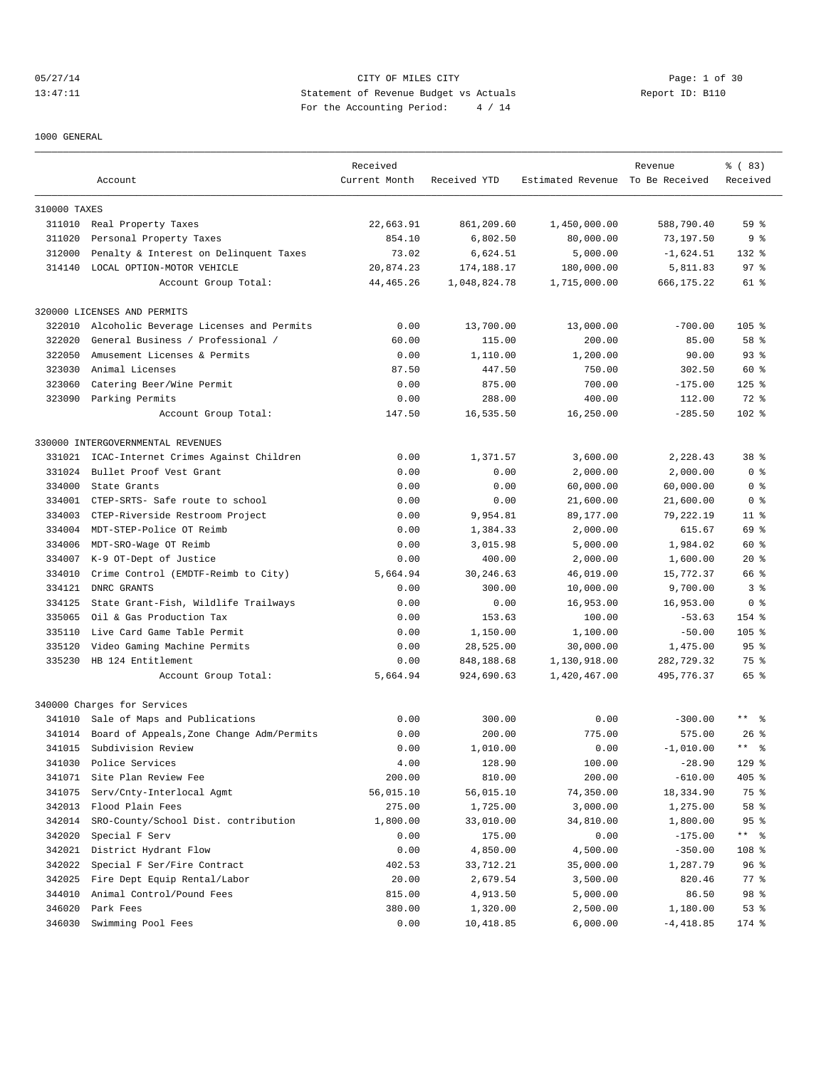## 05/27/14 Page: 1 of 30 13:47:11 Statement of Revenue Budget vs Actuals Report ID: B110 For the Accounting Period: 4 / 14

#### 1000 GENERAL

|              |                                           | Received      |              |                                  |             | % (83)                      |
|--------------|-------------------------------------------|---------------|--------------|----------------------------------|-------------|-----------------------------|
|              | Account                                   | Current Month | Received YTD | Estimated Revenue To Be Received | Revenue     | Received                    |
|              |                                           |               |              |                                  |             |                             |
| 310000 TAXES |                                           |               |              |                                  |             |                             |
| 311010       | Real Property Taxes                       | 22,663.91     | 861,209.60   | 1,450,000.00                     | 588,790.40  | 59 <sup>8</sup>             |
| 311020       | Personal Property Taxes                   | 854.10        | 6,802.50     | 80,000.00                        | 73,197.50   | 9 <sub>8</sub>              |
| 312000       | Penalty & Interest on Delinquent Taxes    | 73.02         | 6,624.51     | 5,000.00                         | $-1,624.51$ | $132$ $%$                   |
| 314140       | LOCAL OPTION-MOTOR VEHICLE                | 20,874.23     | 174,188.17   | 180,000.00                       | 5,811.83    | 97%                         |
|              | Account Group Total:                      | 44, 465.26    | 1,048,824.78 | 1,715,000.00                     | 666,175.22  | 61 %                        |
|              | 320000 LICENSES AND PERMITS               |               |              |                                  |             |                             |
| 322010       | Alcoholic Beverage Licenses and Permits   | 0.00          | 13,700.00    | 13,000.00                        | $-700.00$   | $105$ %                     |
| 322020       | General Business / Professional /         | 60.00         | 115.00       | 200.00                           | 85.00       | 58 %                        |
| 322050       | Amusement Licenses & Permits              | 0.00          | 1,110.00     | 1,200.00                         | 90.00       | 93 <sup>8</sup>             |
| 323030       | Animal Licenses                           | 87.50         | 447.50       | 750.00                           | 302.50      | 60 %                        |
| 323060       | Catering Beer/Wine Permit                 | 0.00          | 875.00       | 700.00                           | $-175.00$   | $125$ %                     |
|              | 323090 Parking Permits                    | 0.00          | 288.00       | 400.00                           | 112.00      | 72 %                        |
|              | Account Group Total:                      | 147.50        | 16,535.50    | 16,250.00                        | $-285.50$   | $102$ %                     |
|              |                                           |               |              |                                  |             |                             |
|              | 330000 INTERGOVERNMENTAL REVENUES         |               |              |                                  |             |                             |
| 331021       | ICAC-Internet Crimes Against Children     | 0.00          | 1,371.57     | 3,600.00                         | 2,228.43    | 38 <sup>8</sup>             |
| 331024       | Bullet Proof Vest Grant                   | 0.00          | 0.00         | 2,000.00                         | 2,000.00    | 0 <sup>8</sup>              |
| 334000       | State Grants                              | 0.00          | 0.00         | 60,000.00                        | 60,000.00   | 0 <sub>8</sub>              |
| 334001       | CTEP-SRTS- Safe route to school           | 0.00          | 0.00         | 21,600.00                        | 21,600.00   | 0 %                         |
| 334003       | CTEP-Riverside Restroom Project           | 0.00          | 9,954.81     | 89,177.00                        | 79,222.19   | $11$ %                      |
| 334004       | MDT-STEP-Police OT Reimb                  | 0.00          | 1,384.33     | 2,000.00                         | 615.67      | 69 %                        |
| 334006       | MDT-SRO-Wage OT Reimb                     | 0.00          | 3,015.98     | 5,000.00                         | 1,984.02    | 60 %                        |
| 334007       | K-9 OT-Dept of Justice                    | 0.00          | 400.00       | 2,000.00                         | 1,600.00    | $20*$                       |
| 334010       | Crime Control (EMDTF-Reimb to City)       | 5,664.94      | 30,246.63    | 46,019.00                        | 15,772.37   | 66 %                        |
| 334121       | DNRC GRANTS                               | 0.00          | 300.00       | 10,000.00                        | 9,700.00    | 3%                          |
| 334125       | State Grant-Fish, Wildlife Trailways      | 0.00          | 0.00         | 16,953.00                        | 16,953.00   | 0 <sub>8</sub>              |
| 335065       | Oil & Gas Production Tax                  | 0.00          | 153.63       | 100.00                           | $-53.63$    | 154 %                       |
| 335110       | Live Card Game Table Permit               | 0.00          | 1,150.00     | 1,100.00                         | $-50.00$    | $105$ %                     |
| 335120       | Video Gaming Machine Permits              | 0.00          | 28,525.00    | 30,000.00                        | 1,475.00    | 95 <sup>8</sup>             |
| 335230       | HB 124 Entitlement                        | 0.00          | 848,188.68   | 1,130,918.00                     | 282,729.32  | 75 %                        |
|              | Account Group Total:                      | 5,664.94      | 924,690.63   | 1,420,467.00                     | 495,776.37  | 65 %                        |
|              | 340000 Charges for Services               |               |              |                                  |             |                             |
|              | 341010 Sale of Maps and Publications      | 0.00          | 300.00       | 0.00                             | $-300.00$   | $***$ %                     |
| 341014       | Board of Appeals, Zone Change Adm/Permits | 0.00          | 200.00       | 775.00                           | 575.00      | $26$ %                      |
| 341015       | Subdivision Review                        | 0.00          | 1,010.00     | 0.00                             | $-1.010.00$ | $\star$ $\star$<br>ু ৯      |
| 341030       | Police Services                           | 4.00          | 128.90       | 100.00                           | $-28.90$    | $129$ %                     |
| 341071       | Site Plan Review Fee                      | 200.00        | 810.00       | 200.00                           | $-610.00$   | 405 %                       |
| 341075       | Serv/Cnty-Interlocal Agmt                 | 56,015.10     | 56,015.10    | 74,350.00                        | 18,334.90   | 75 %                        |
| 342013       | Flood Plain Fees                          | 275.00        | 1,725.00     | 3,000.00                         | 1,275.00    | 58 %                        |
| 342014       | SRO-County/School Dist. contribution      | 1,800.00      | 33,010.00    | 34,810.00                        | 1,800.00    | 95%                         |
| 342020       | Special F Serv                            | 0.00          | 175.00       | 0.00                             | $-175.00$   | $\star \star$ $\sim$ $\sim$ |
| 342021       | District Hydrant Flow                     | 0.00          | 4,850.00     | 4,500.00                         | $-350.00$   | 108 %                       |
| 342022       | Special F Ser/Fire Contract               | 402.53        | 33,712.21    | 35,000.00                        | 1,287.79    | 96 %                        |
| 342025       | Fire Dept Equip Rental/Labor              | 20.00         | 2,679.54     | 3,500.00                         | 820.46      | $77$ $%$                    |
| 344010       | Animal Control/Pound Fees                 | 815.00        | 4,913.50     | 5,000.00                         | 86.50       | 98 %                        |
| 346020       | Park Fees                                 | 380.00        | 1,320.00     | 2,500.00                         | 1,180.00    | 53%                         |
| 346030       | Swimming Pool Fees                        | 0.00          | 10,418.85    | 6,000.00                         | $-4,418.85$ | 174 %                       |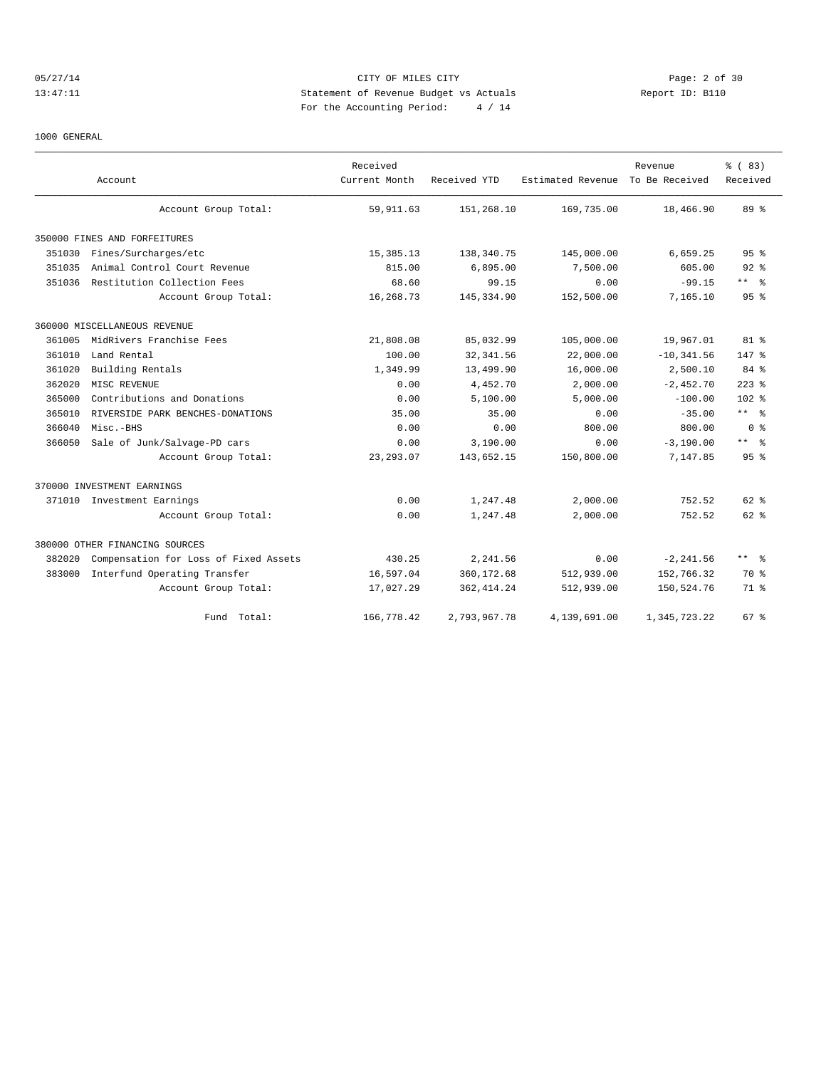## 05/27/14 Page: 2 of 30 13:47:11 Statement of Revenue Budget vs Actuals Report ID: B110 For the Accounting Period: 4 / 14

#### 1000 GENERAL

|        |                                       | Received      |              |                   | Revenue        | % (83)               |
|--------|---------------------------------------|---------------|--------------|-------------------|----------------|----------------------|
|        | Account                               | Current Month | Received YTD | Estimated Revenue | To Be Received | Received             |
|        | Account Group Total:                  | 59, 911.63    | 151,268.10   | 169,735.00        | 18,466.90      | 89 <sup>°</sup>      |
|        | 350000 FINES AND FORFEITURES          |               |              |                   |                |                      |
| 351030 | Fines/Surcharges/etc                  | 15, 385. 13   | 138,340.75   | 145,000.00        | 6,659.25       | 95 <sup>8</sup>      |
| 351035 | Animal Control Court Revenue          | 815.00        | 6,895.00     | 7,500.00          | 605.00         | $92$ $%$             |
| 351036 | Restitution Collection Fees           | 68.60         | 99.15        | 0.00              | $-99.15$       | $***$ %              |
|        | Account Group Total:                  | 16,268.73     | 145, 334, 90 | 152,500.00        | 7.165.10       | 95 <sup>8</sup>      |
|        | 360000 MISCELLANEOUS REVENUE          |               |              |                   |                |                      |
| 361005 | MidRivers Franchise Fees              | 21,808.08     | 85,032.99    | 105,000.00        | 19,967.01      | 81 %                 |
| 361010 | Land Rental                           | 100.00        | 32, 341.56   | 22,000.00         | $-10, 341.56$  | 147 %                |
| 361020 | Building Rentals                      | 1,349.99      | 13,499.90    | 16,000.00         | 2,500.10       | 84 %                 |
| 362020 | MISC REVENUE                          | 0.00          | 4,452.70     | 2,000.00          | $-2,452.70$    | $223$ $%$            |
| 365000 | Contributions and Donations           | 0.00          | 5,100.00     | 5,000.00          | $-100.00$      | 102 %                |
| 365010 | RIVERSIDE PARK BENCHES-DONATIONS      | 35.00         | 35.00        | 0.00              | $-35.00$       | $***$ $ \frac{6}{6}$ |
| 366040 | Misc.-BHS                             | 0.00          | 0.00         | 800.00            | 800.00         | 0 <sup>8</sup>       |
| 366050 | Sale of Junk/Salvage-PD cars          | 0.00          | 3,190.00     | 0.00              | $-3,190.00$    | $***$ %              |
|        | Account Group Total:                  | 23, 293.07    | 143,652.15   | 150,800.00        | 7,147.85       | 95 <sup>°</sup>      |
|        | 370000 INVESTMENT EARNINGS            |               |              |                   |                |                      |
|        | 371010 Investment Earnings            | 0.00          | 1,247.48     | 2,000.00          | 752.52         | $62$ $%$             |
|        | Account Group Total:                  | 0.00          | 1,247.48     | 2,000.00          | 752.52         | $62$ $%$             |
|        | 380000 OTHER FINANCING SOURCES        |               |              |                   |                |                      |
| 382020 | Compensation for Loss of Fixed Assets | 430.25        | 2,241.56     | 0.00              | $-2, 241.56$   | $***$ $\approx$      |
| 383000 | Interfund Operating Transfer          | 16,597.04     | 360,172.68   | 512,939.00        | 152,766.32     | 70 %                 |
|        | Account Group Total:                  | 17,027.29     | 362, 414.24  | 512,939.00        | 150,524.76     | 71.8                 |
|        | Total:<br>Fund                        | 166,778.42    | 2,793,967.78 | 4,139,691.00      | 1,345,723.22   | 67 <sup>8</sup>      |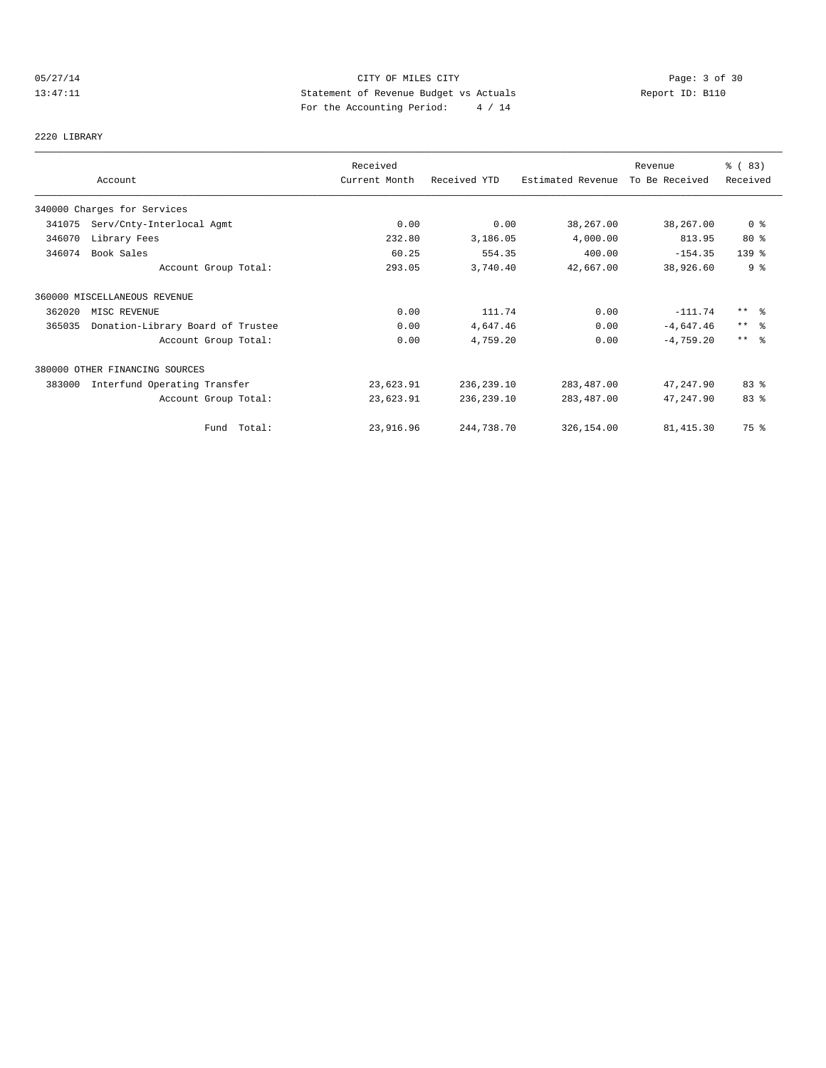## 05/27/14 Page: 3 of 30 13:47:11 Statement of Revenue Budget vs Actuals Report ID: B110 For the Accounting Period: 4 / 14

2220 LIBRARY

|        |                                   | Received      |              |                   | Revenue        | % (83)          |
|--------|-----------------------------------|---------------|--------------|-------------------|----------------|-----------------|
|        | Account                           | Current Month | Received YTD | Estimated Revenue | To Be Received | Received        |
|        | 340000 Charges for Services       |               |              |                   |                |                 |
| 341075 | Serv/Cnty-Interlocal Agmt         | 0.00          | 0.00         | 38,267.00         | 38,267.00      | 0 <sub>8</sub>  |
| 346070 | Library Fees                      | 232.80        | 3,186.05     | 4,000.00          | 813.95         | 80%             |
| 346074 | Book Sales                        | 60.25         | 554.35       | 400.00            | $-154.35$      | $139$ $%$       |
|        | Account Group Total:              | 293.05        | 3,740.40     | 42,667.00         | 38,926.60      | 9%              |
|        | 360000 MISCELLANEOUS REVENUE      |               |              |                   |                |                 |
| 362020 | MISC REVENUE                      | 0.00          | 111.74       | 0.00              | $-111.74$      | $***$ $\approx$ |
| 365035 | Donation-Library Board of Trustee | 0.00          | 4,647.46     | 0.00              | $-4,647.46$    | $***$ $\approx$ |
|        | Account Group Total:              | 0.00          | 4,759.20     | 0.00              | $-4,759.20$    | $***$ $ -$      |
|        | 380000 OTHER FINANCING SOURCES    |               |              |                   |                |                 |
| 383000 | Interfund Operating Transfer      | 23,623.91     | 236,239.10   | 283,487.00        | 47,247.90      | 83 %            |
|        | Account Group Total:              | 23,623.91     | 236, 239.10  | 283,487.00        | 47,247.90      | 83 %            |
|        | Fund Total:                       | 23,916.96     | 244,738.70   | 326,154.00        | 81, 415.30     | 75 %            |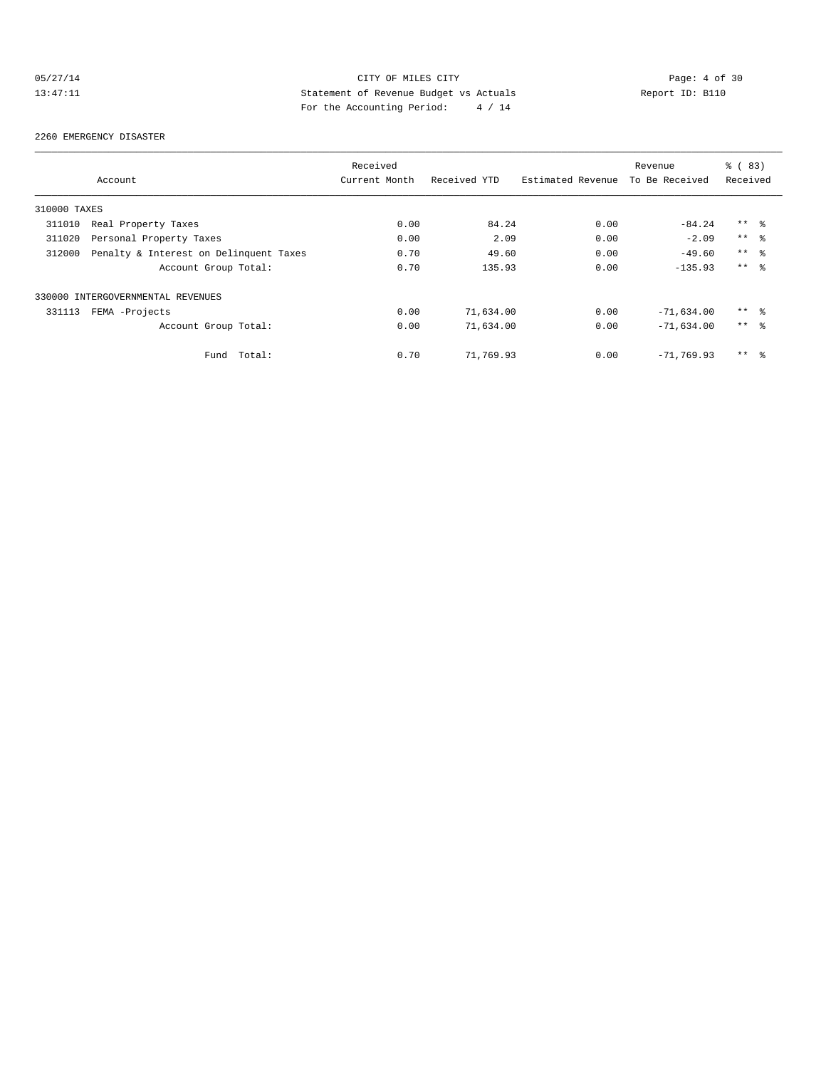## 05/27/14 CITY OF MILES CITY Page: 4 of 30<br>13:47:11 Statement of Revenue Budget vs Actuals Report ID: B110<br>Por the Accumular Deviced: A (11) Statement of Revenue Budget vs Actuals 13:47:11 Statement of Revenue Budget vs Actuals Report ID: B110 For the Accounting Period: 4 / 14

#### 2260 EMERGENCY DISASTER

|              |                                        | Received      |              |                   | Revenue        | % (83)          |
|--------------|----------------------------------------|---------------|--------------|-------------------|----------------|-----------------|
|              | Account                                | Current Month | Received YTD | Estimated Revenue | To Be Received | Received        |
| 310000 TAXES |                                        |               |              |                   |                |                 |
| 311010       | Real Property Taxes                    | 0.00          | 84.24        | 0.00              | $-84.24$       | $***$ $\approx$ |
| 311020       | Personal Property Taxes                | 0.00          | 2.09         | 0.00              | $-2.09$        | $***$ $\approx$ |
| 312000       | Penalty & Interest on Delinquent Taxes | 0.70          | 49.60        | 0.00              | $-49.60$       | $***$ $\approx$ |
|              | Account Group Total:                   | 0.70          | 135.93       | 0.00              | $-135.93$      | $***$ $ -$      |
|              | 330000 INTERGOVERNMENTAL REVENUES      |               |              |                   |                |                 |
| 331113       | FEMA -Projects                         | 0.00          | 71,634.00    | 0.00              | $-71,634.00$   | $***$ %         |
|              | Account Group Total:                   | 0.00          | 71,634.00    | 0.00              | $-71,634.00$   | $***$ %         |
|              | Total:<br>Fund                         | 0.70          | 71,769.93    | 0.00              | $-71, 769, 93$ | $***$ $\approx$ |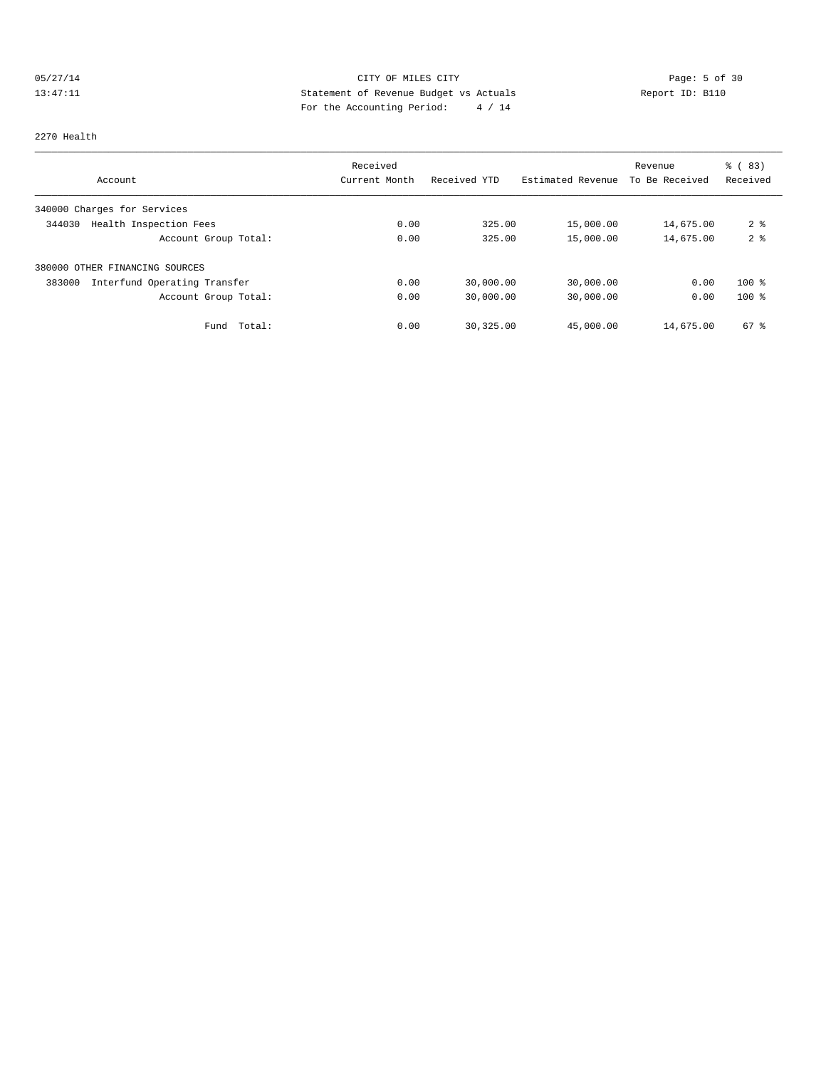## 05/27/14 CITY OF MILES CITY Page: 5 of 30 13:47:11 Statement of Revenue Budget vs Actuals Report ID: B110<br>Report ID: B110 For the Accounting Period: 4 / 14

#### 2270 Health

|                                        | Received      |              |                   | Revenue        | % (83)         |
|----------------------------------------|---------------|--------------|-------------------|----------------|----------------|
| Account                                | Current Month | Received YTD | Estimated Revenue | To Be Received | Received       |
| 340000 Charges for Services            |               |              |                   |                |                |
| Health Inspection Fees<br>344030       | 0.00          | 325.00       | 15,000.00         | 14,675.00      | 2 <sup>8</sup> |
| Account Group Total:                   | 0.00          | 325.00       | 15,000.00         | 14,675.00      | 2 <sup>°</sup> |
| 380000 OTHER FINANCING SOURCES         |               |              |                   |                |                |
| Interfund Operating Transfer<br>383000 | 0.00          | 30,000.00    | 30,000.00         | 0.00           | $100*$         |
| Account Group Total:                   | 0.00          | 30,000.00    | 30,000.00         | 0.00           | $100*$         |
| Total:<br>Fund                         | 0.00          | 30,325.00    | 45,000.00         | 14,675.00      | $67$ $%$       |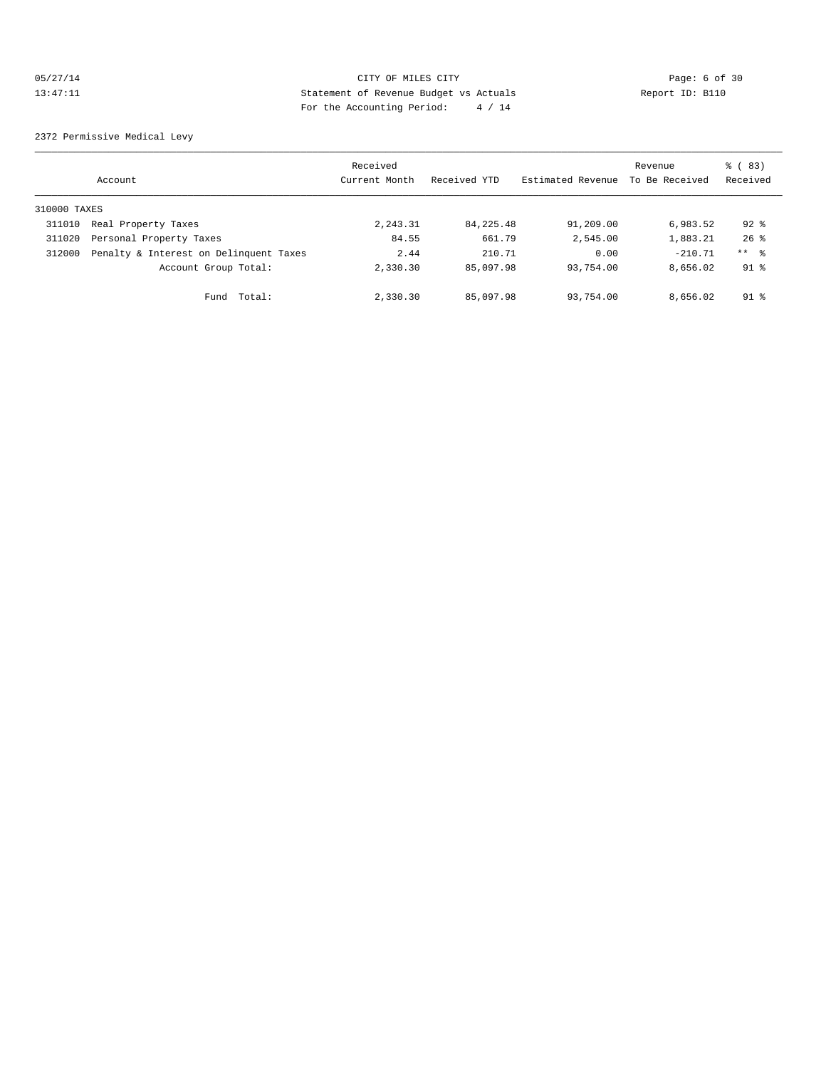## 05/27/14 Page: 6 of 30 13:47:11 Statement of Revenue Budget vs Actuals Report ID: B110 For the Accounting Period: 4 / 14

2372 Permissive Medical Levy

|              | Account                                | Received<br>Current Month | Received YTD | Estimated Revenue | Revenue<br>To Be Received | % (83)<br>Received |
|--------------|----------------------------------------|---------------------------|--------------|-------------------|---------------------------|--------------------|
| 310000 TAXES |                                        |                           |              |                   |                           |                    |
| 311010       | Real Property Taxes                    | 2,243.31                  | 84,225.48    | 91,209.00         | 6,983.52                  | $92$ %             |
| 311020       | Personal Property Taxes                | 84.55                     | 661.79       | 2,545.00          | 1,883.21                  | $26$ $%$           |
| 312000       | Penalty & Interest on Delinquent Taxes | 2.44                      | 210.71       | 0.00              | $-210.71$                 | ** %               |
|              | Account Group Total:                   | 2,330.30                  | 85,097.98    | 93,754.00         | 8,656.02                  | $91$ %             |
|              | Total:<br>Fund                         | 2,330.30                  | 85,097.98    | 93,754.00         | 8,656.02                  | $91$ %             |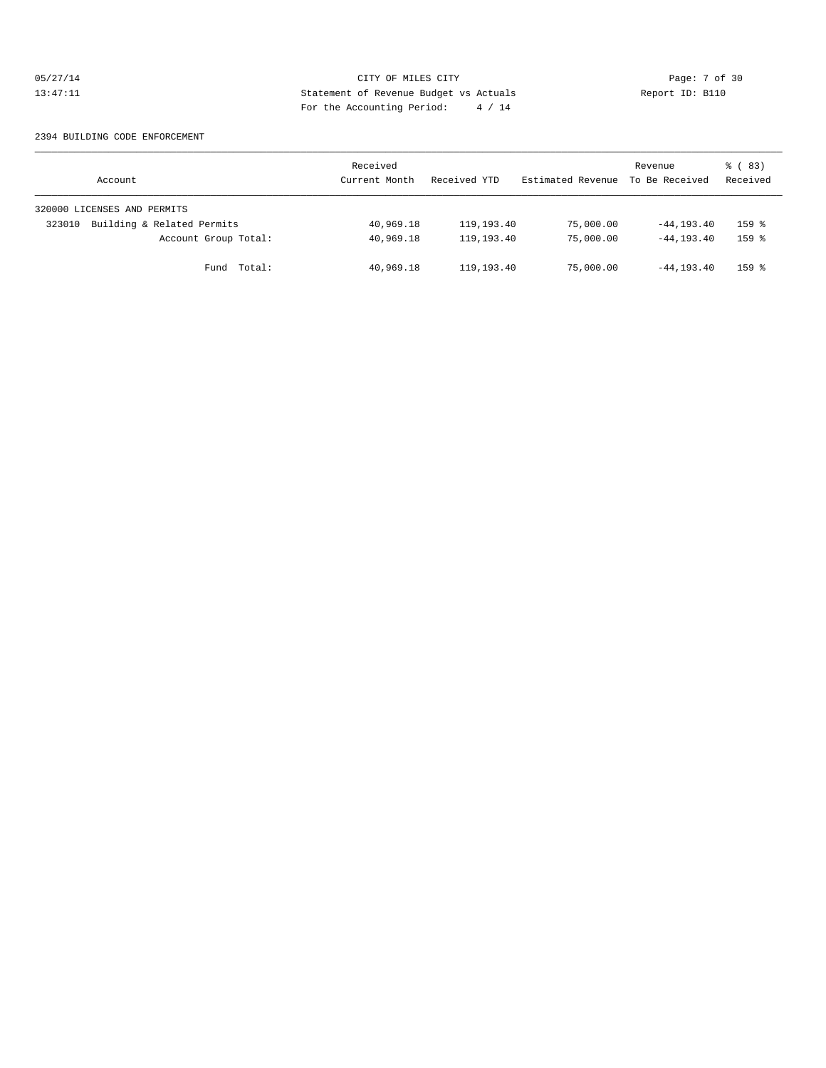## 05/27/14 CITY OF MILES CITY Page: 7 of 30<br>13:47:11 Statement of Revenue Budget vs Actuals Report ID: B110<br>Por the Accumular Deviced: A (11) Statement of Revenue Budget vs Actuals 13:47:11 Statement of Revenue Budget vs Actuals Report ID: B110 For the Accounting Period: 4 / 14

#### 2394 BUILDING CODE ENFORCEMENT

| Account                              | Received<br>Current Month | Received YTD | Estimated Revenue | Revenue<br>To Be Received | % (83)<br>Received  |
|--------------------------------------|---------------------------|--------------|-------------------|---------------------------|---------------------|
| 320000 LICENSES AND PERMITS          |                           |              |                   |                           |                     |
| Building & Related Permits<br>323010 | 40,969.18                 | 119,193.40   | 75,000.00         | $-44, 193, 40$            | $159$ %             |
| Account Group Total:                 | 40,969.18                 | 119,193.40   | 75,000.00         | $-44, 193, 40$            | $159$ $%$           |
| Fund Total:                          | 40,969.18                 | 119,193.40   | 75,000.00         | $-44, 193, 40$            | $159$ $\frac{6}{5}$ |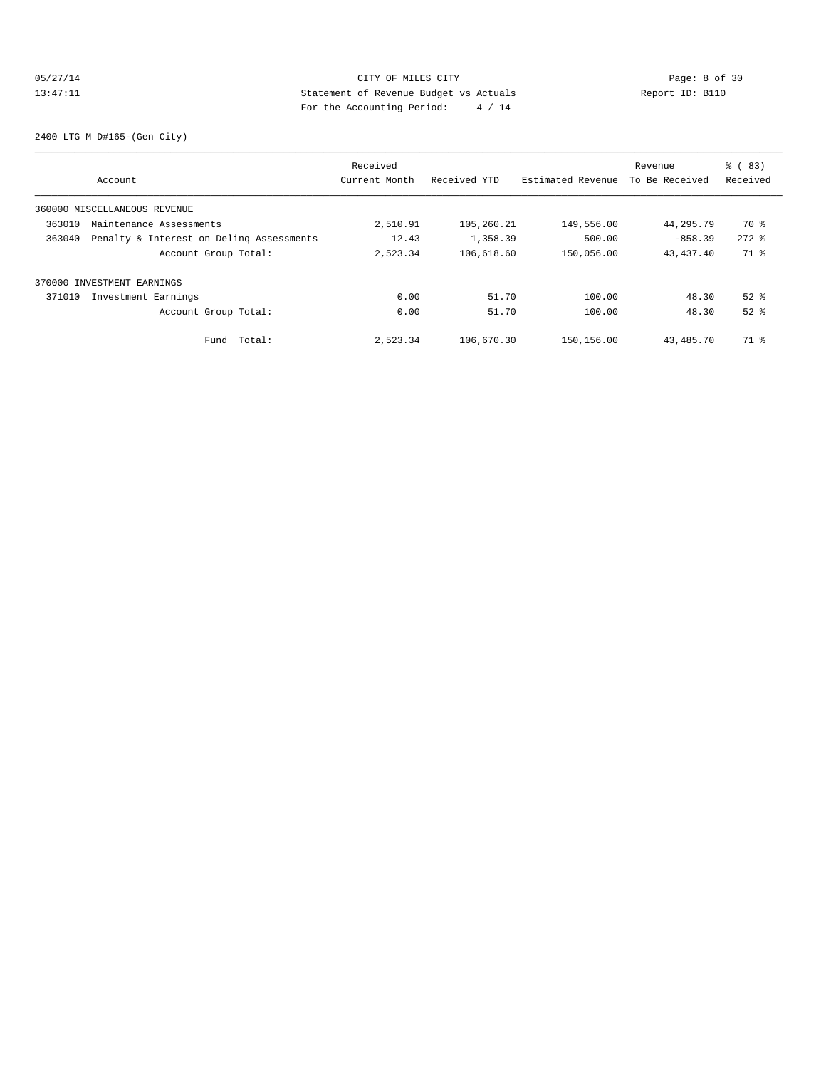## 05/27/14 Page: 8 of 30 13:47:11 Statement of Revenue Budget vs Actuals Report ID: B110 For the Accounting Period: 4 / 14

2400 LTG M D#165-(Gen City)

|        |                                          | Received      |              |                   | Revenue        | % (83)    |
|--------|------------------------------------------|---------------|--------------|-------------------|----------------|-----------|
|        | Account                                  | Current Month | Received YTD | Estimated Revenue | To Be Received | Received  |
|        | 360000 MISCELLANEOUS REVENUE             |               |              |                   |                |           |
| 363010 | Maintenance Assessments                  | 2,510.91      | 105,260.21   | 149,556.00        | 44,295.79      | 70 %      |
| 363040 | Penalty & Interest on Deling Assessments | 12.43         | 1,358.39     | 500.00            | $-858.39$      | $272$ $%$ |
|        | Account Group Total:                     | 2,523.34      | 106,618.60   | 150,056.00        | 43, 437. 40    | 71 %      |
|        | 370000 INVESTMENT EARNINGS               |               |              |                   |                |           |
| 371010 | Investment Earnings                      | 0.00          | 51.70        | 100.00            | 48.30          | $52$ $%$  |
|        | Account Group Total:                     | 0.00          | 51.70        | 100.00            | 48.30          | $52$ $%$  |
|        | Total:<br>Fund                           | 2,523.34      | 106,670.30   | 150,156.00        | 43,485.70      | 71 %      |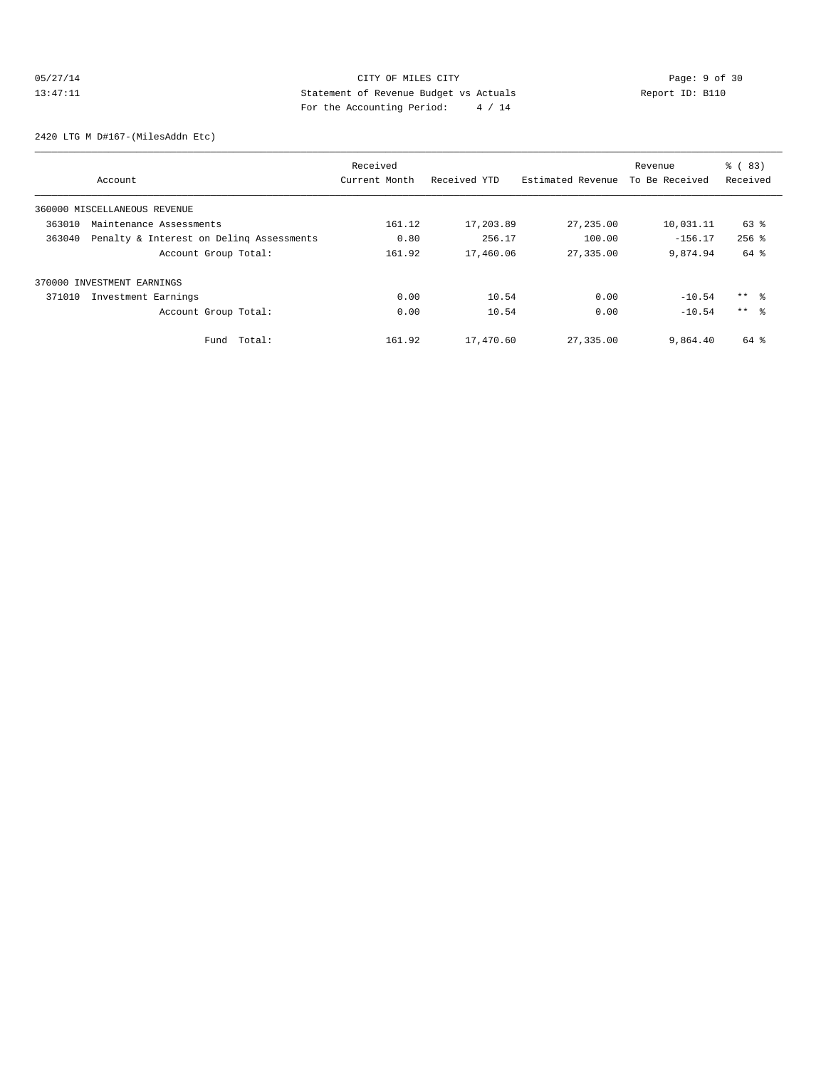## 05/27/14 CITY OF MILES CITY Page: 9 of 30<br>13:47:11 Statement of Revenue Budget vs Actuals Report ID: B110<br>Por the Assembly Poriod: 4/14 13:47:11 Statement of Revenue Budget vs Actuals Report ID: B110 For the Accounting Period: 4 / 14

2420 LTG M D#167-(MilesAddn Etc)

|        |                                          | Received      |              |                   | Revenue        | $\frac{6}{6}$ (83) |
|--------|------------------------------------------|---------------|--------------|-------------------|----------------|--------------------|
|        | Account                                  | Current Month | Received YTD | Estimated Revenue | To Be Received | Received           |
|        | 360000 MISCELLANEOUS REVENUE             |               |              |                   |                |                    |
| 363010 | Maintenance Assessments                  | 161.12        | 17,203.89    | 27, 235.00        | 10,031.11      | 63 %               |
| 363040 | Penalty & Interest on Deling Assessments | 0.80          | 256.17       | 100.00            | $-156.17$      | $256$ $%$          |
|        | Account Group Total:                     | 161.92        | 17,460.06    | 27,335.00         | 9,874.94       | 64 %               |
|        | 370000 INVESTMENT EARNINGS               |               |              |                   |                |                    |
| 371010 | Investment Earnings                      | 0.00          | 10.54        | 0.00              | $-10.54$       | ** %               |
|        | Account Group Total:                     | 0.00          | 10.54        | 0.00              | $-10.54$       | $***$ %            |
|        | Total:<br>Fund                           | 161.92        | 17,470.60    | 27,335.00         | 9,864.40       | 64 %               |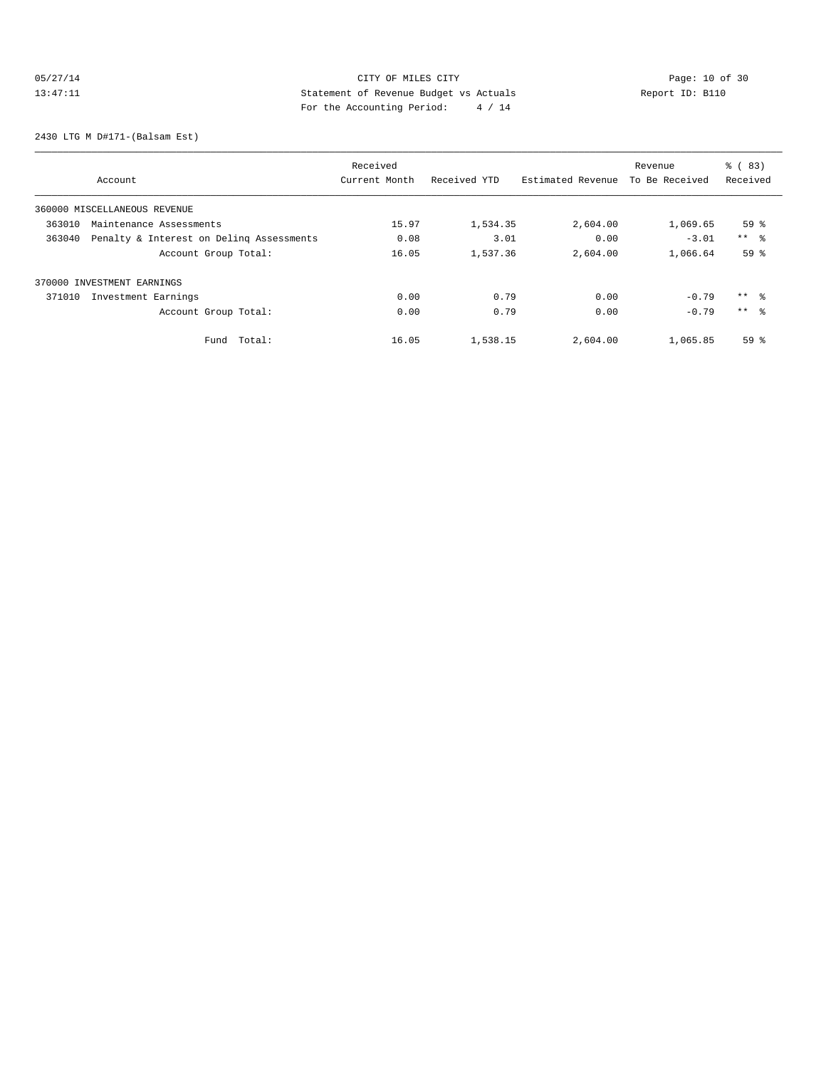## 05/27/14 Page: 10 of 30 13:47:11 Statement of Revenue Budget vs Actuals Report ID: B110<br>Report ID: B110 For the Accounting Period: 4 / 14

2430 LTG M D#171-(Balsam Est)

|                                                    | Received      |              |                   | Revenue        | % (83)          |
|----------------------------------------------------|---------------|--------------|-------------------|----------------|-----------------|
| Account                                            | Current Month | Received YTD | Estimated Revenue | To Be Received | Received        |
| 360000 MISCELLANEOUS REVENUE                       |               |              |                   |                |                 |
| 363010<br>Maintenance Assessments                  | 15.97         | 1,534.35     | 2,604.00          | 1,069.65       | 59 <sup>8</sup> |
| 363040<br>Penalty & Interest on Deling Assessments | 0.08          | 3.01         | 0.00              | $-3.01$        | $***$ $ -$      |
| Account Group Total:                               | 16.05         | 1,537.36     | 2,604.00          | 1,066.64       | 59 <sup>°</sup> |
| 370000 INVESTMENT EARNINGS                         |               |              |                   |                |                 |
| 371010<br>Investment Earnings                      | 0.00          | 0.79         | 0.00              | $-0.79$        | $***$ %         |
| Account Group Total:                               | 0.00          | 0.79         | 0.00              | $-0.79$        | $***$ $\approx$ |
| Total:<br>Fund                                     | 16.05         | 1,538.15     | 2,604.00          | 1,065.85       | 59 <sup>°</sup> |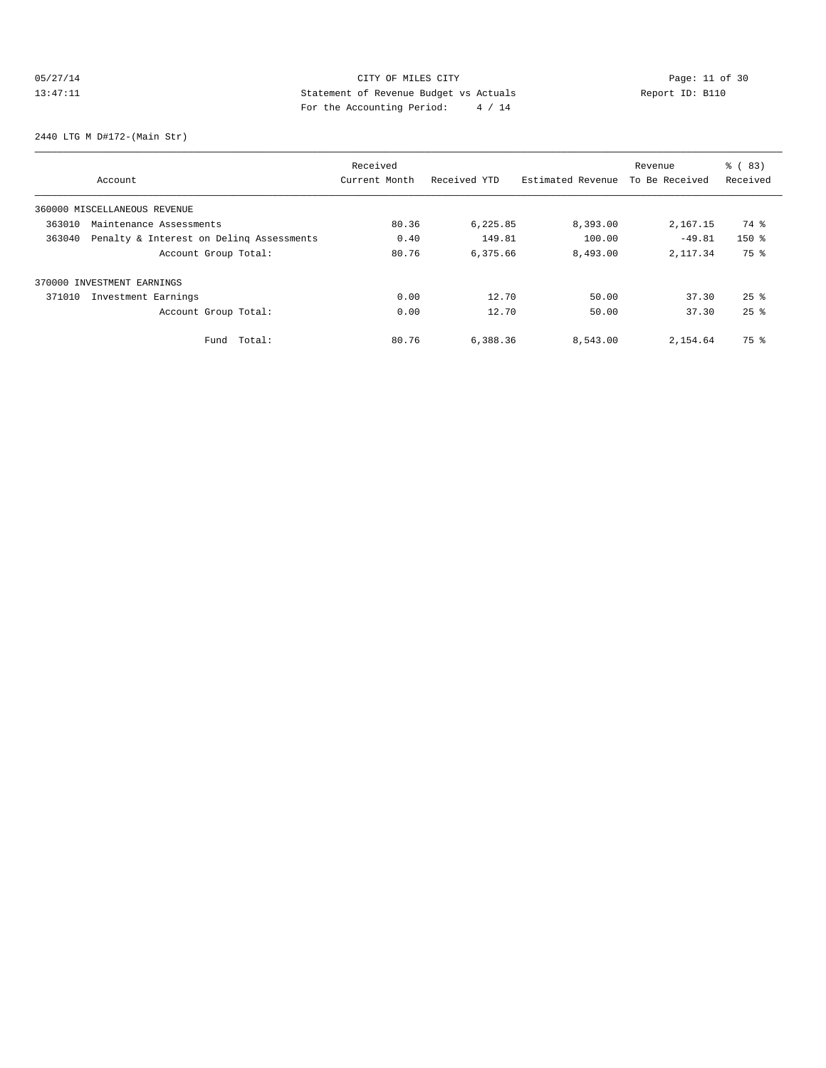## 05/27/14 Page: 11 of 30 13:47:11 Statement of Revenue Budget vs Actuals Report ID: B110<br>Report ID: B110 For the Accounting Period: 4 / 14

2440 LTG M D#172-(Main Str)

|        |                                          | Received      |              |                   | Revenue        | % (83)             |
|--------|------------------------------------------|---------------|--------------|-------------------|----------------|--------------------|
|        | Account                                  | Current Month | Received YTD | Estimated Revenue | To Be Received | Received           |
|        | 360000 MISCELLANEOUS REVENUE             |               |              |                   |                |                    |
| 363010 | Maintenance Assessments                  | 80.36         | 6,225.85     | 8,393.00          | 2,167.15       | 74 %               |
| 363040 | Penalty & Interest on Deling Assessments | 0.40          | 149.81       | 100.00            | $-49.81$       | $150*$             |
|        | Account Group Total:                     | 80.76         | 6,375.66     | 8,493.00          | 2, 117, 34     | 75 %               |
|        | 370000 INVESTMENT EARNINGS               |               |              |                   |                |                    |
| 371010 | Investment Earnings                      | 0.00          | 12.70        | 50.00             | 37.30          | $25$ $\frac{6}{5}$ |
|        | Account Group Total:                     | 0.00          | 12.70        | 50.00             | 37.30          | $25$ $%$           |
|        | Total:<br>Fund                           | 80.76         | 6,388.36     | 8,543.00          | 2,154.64       | 75 %               |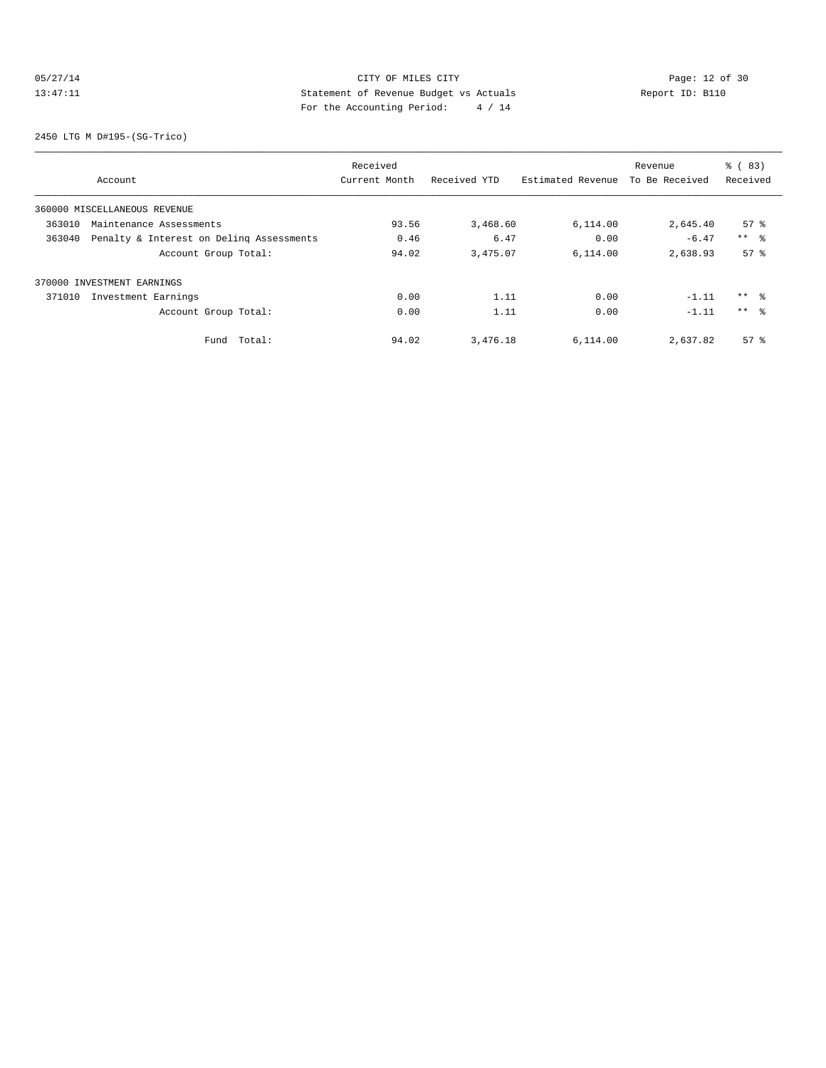## 05/27/14 Page: 12 of 30 13:47:11 Statement of Revenue Budget vs Actuals Report ID: B110 For the Accounting Period: 4 / 14

2450 LTG M D#195-(SG-Trico)

|                                                    | Received      |              |                   | Revenue        | % (83)          |
|----------------------------------------------------|---------------|--------------|-------------------|----------------|-----------------|
| Account                                            | Current Month | Received YTD | Estimated Revenue | To Be Received | Received        |
| 360000 MISCELLANEOUS REVENUE                       |               |              |                   |                |                 |
| 363010<br>Maintenance Assessments                  | 93.56         | 3,468.60     | 6,114.00          | 2,645.40       | 57%             |
| Penalty & Interest on Deling Assessments<br>363040 | 0.46          | 6.47         | 0.00              | $-6.47$        | $***$ $ -$      |
| Account Group Total:                               | 94.02         | 3,475.07     | 6,114.00          | 2,638.93       | 57 <sup>8</sup> |
| 370000 INVESTMENT EARNINGS                         |               |              |                   |                |                 |
| 371010<br>Investment Earnings                      | 0.00          | 1.11         | 0.00              | $-1.11$        | $***$ %         |
| Account Group Total:                               | 0.00          | 1.11         | 0.00              | $-1.11$        | $***$ %         |
| Total:<br>Fund                                     | 94.02         | 3,476.18     | 6,114.00          | 2,637.82       | $57*$           |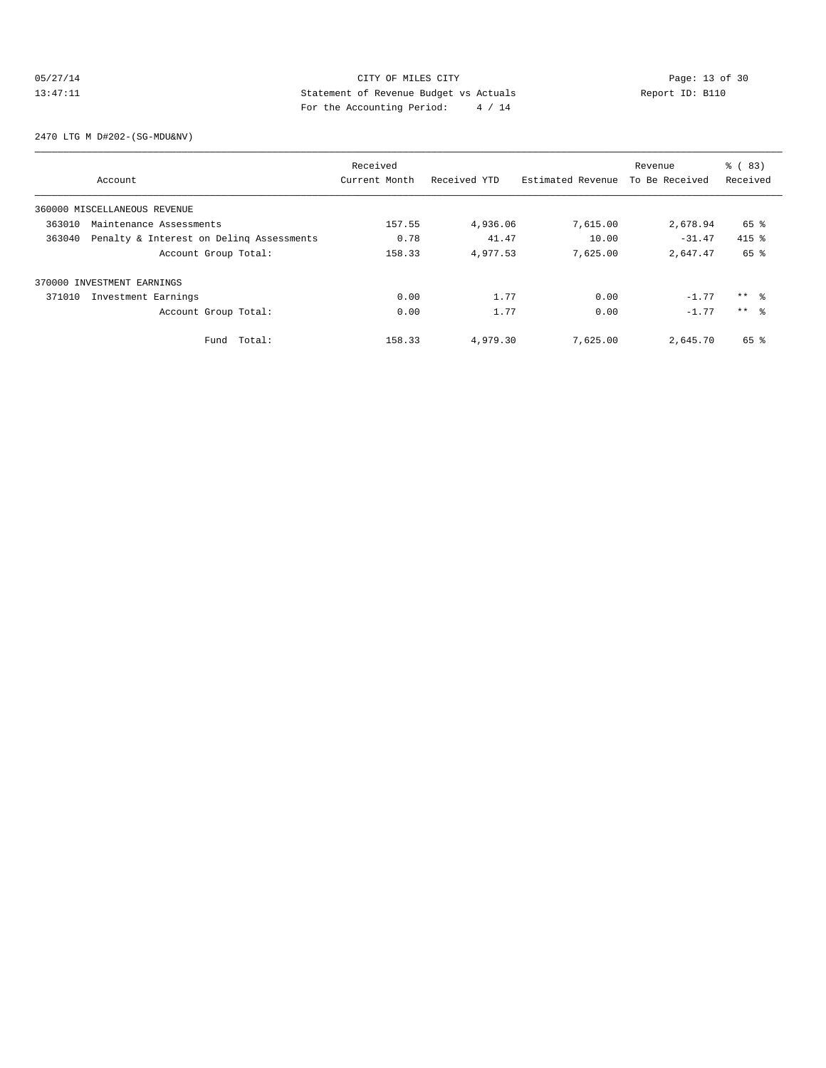## 05/27/14 Page: 13 of 30 13:47:11 Statement of Revenue Budget vs Actuals Report ID: B110<br>Report ID: B110 For the Accounting Period: 4 / 14

2470 LTG M D#202-(SG-MDU&NV)

|        |                                          | Received      |              |                   | Revenue        | % (83)          |
|--------|------------------------------------------|---------------|--------------|-------------------|----------------|-----------------|
|        | Account                                  | Current Month | Received YTD | Estimated Revenue | To Be Received | Received        |
|        | 360000 MISCELLANEOUS REVENUE             |               |              |                   |                |                 |
| 363010 | Maintenance Assessments                  | 157.55        | 4,936.06     | 7,615.00          | 2,678.94       | 65 %            |
| 363040 | Penalty & Interest on Deling Assessments | 0.78          | 41.47        | 10.00             | $-31.47$       | $415$ %         |
|        | Account Group Total:                     | 158.33        | 4,977.53     | 7,625.00          | 2,647.47       | 65 %            |
|        | 370000 INVESTMENT EARNINGS               |               |              |                   |                |                 |
| 371010 | Investment Earnings                      | 0.00          | 1.77         | 0.00              | $-1.77$        | $***$ 8         |
|        | Account Group Total:                     | 0.00          | 1.77         | 0.00              | $-1.77$        | $***$ $\approx$ |
|        | Total:<br>Fund                           | 158.33        | 4,979.30     | 7,625.00          | 2,645.70       | 65 %            |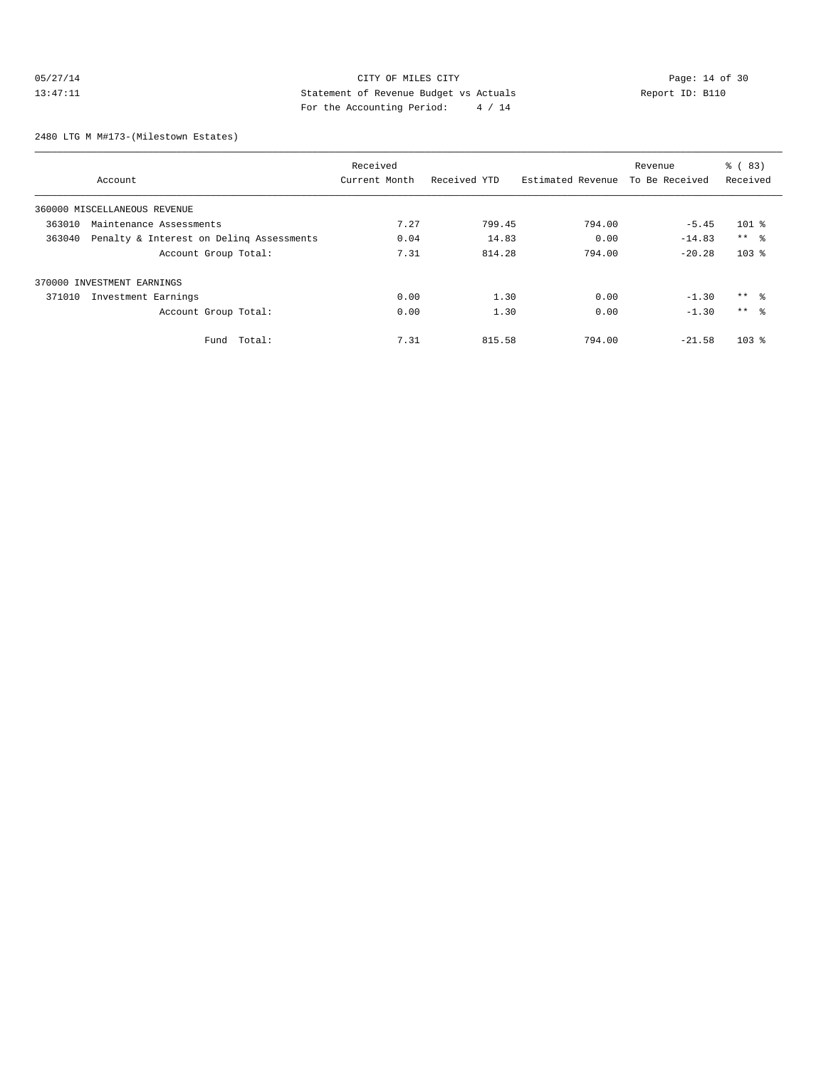## 05/27/14 Page: 14 of 30<br>13:47:11 Page: 14 of 30<br>13:47:11 CITY OF MILES CITY<br>5 Statement of Revenue Budget vs Actuals<br>For the Accounting Positeir Application of the Security Positeir (1996) 13:47:11 Statement of Revenue Budget vs Actuals Report ID: B110 For the Accounting Period: 4 / 14

2480 LTG M M#173-(Milestown Estates)

|        |                                          | Received      |              |                   | Revenue        | % (83)          |
|--------|------------------------------------------|---------------|--------------|-------------------|----------------|-----------------|
|        | Account                                  | Current Month | Received YTD | Estimated Revenue | To Be Received | Received        |
|        | 360000 MISCELLANEOUS REVENUE             |               |              |                   |                |                 |
| 363010 | Maintenance Assessments                  | 7.27          | 799.45       | 794.00            | $-5.45$        | $101$ %         |
| 363040 | Penalty & Interest on Deling Assessments | 0.04          | 14.83        | 0.00              | $-14.83$       | $***$ %         |
|        | Account Group Total:                     | 7.31          | 814.28       | 794.00            | $-20.28$       | $103$ %         |
|        | 370000 INVESTMENT EARNINGS               |               |              |                   |                |                 |
| 371010 | Investment Earnings                      | 0.00          | 1.30         | 0.00              | $-1.30$        | ** %            |
|        | Account Group Total:                     | 0.00          | 1.30         | 0.00              | $-1.30$        | $***$ $\approx$ |
|        | Total:<br>Fund                           | 7.31          | 815.58       | 794.00            | $-21.58$       | $103$ %         |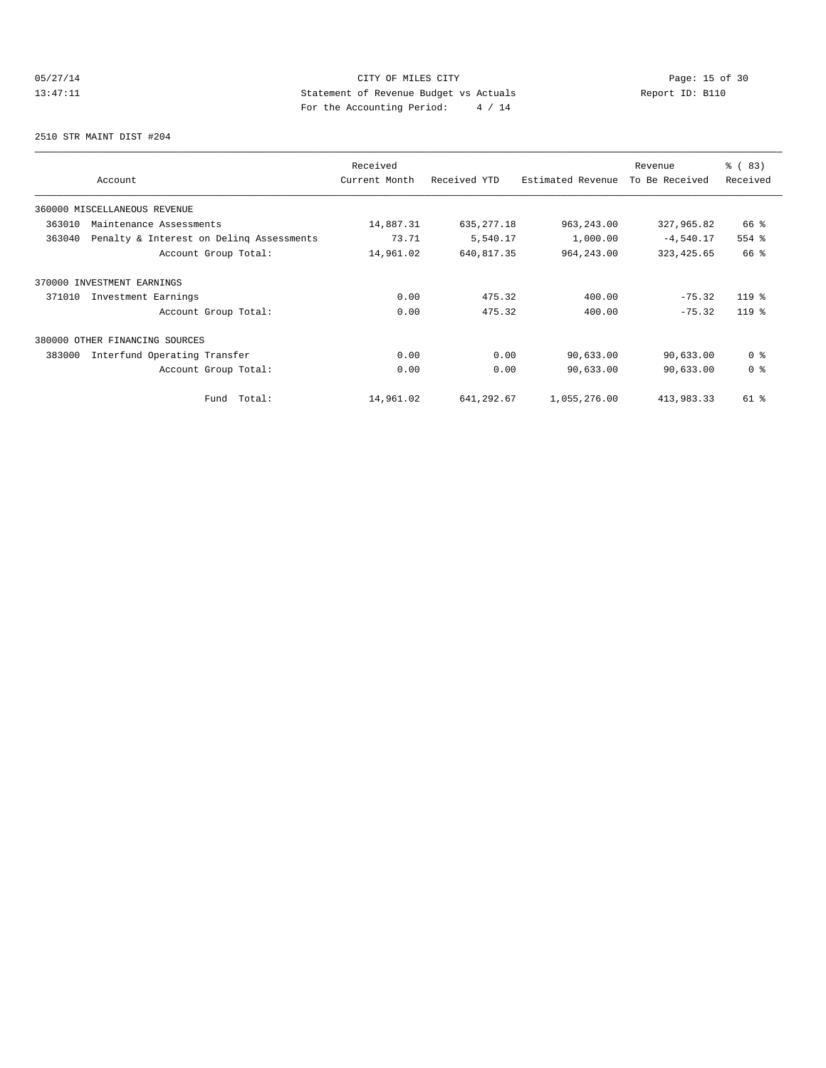## 05/27/14 Page: 15 of 30 13:47:11 Statement of Revenue Budget vs Actuals Report ID: B110<br>Report ID: B110 For the Accounting Period: 4 / 14

2510 STR MAINT DIST #204

| Account                                            | Received<br>Current Month | Received YTD | Estimated Revenue | Revenue<br>To Be Received | % (83)<br>Received |
|----------------------------------------------------|---------------------------|--------------|-------------------|---------------------------|--------------------|
| 360000 MISCELLANEOUS REVENUE                       |                           |              |                   |                           |                    |
| 363010<br>Maintenance Assessments                  | 14,887.31                 | 635, 277.18  | 963, 243.00       | 327,965.82                | 66 %               |
| 363040<br>Penalty & Interest on Deling Assessments | 73.71                     | 5,540.17     | 1,000.00          | $-4,540.17$               | 554 %              |
| Account Group Total:                               | 14,961.02                 | 640,817.35   | 964, 243.00       | 323, 425.65               | 66 %               |
| 370000 INVESTMENT EARNINGS                         |                           |              |                   |                           |                    |
| Investment Earnings<br>371010                      | 0.00                      | 475.32       | 400.00            | $-75.32$                  | $119*$             |
| Account Group Total:                               | 0.00                      | 475.32       | 400.00            | $-75.32$                  | $119*$             |
| 380000<br>OTHER FINANCING SOURCES                  |                           |              |                   |                           |                    |
| 383000<br>Interfund Operating Transfer             | 0.00                      | 0.00         | 90,633.00         | 90,633.00                 | 0 <sup>8</sup>     |
| Account Group Total:                               | 0.00                      | 0.00         | 90,633.00         | 90,633.00                 | 0 <sup>8</sup>     |
| Total:<br>Fund                                     | 14,961.02                 | 641,292.67   | 1,055,276.00      | 413,983.33                | 61 %               |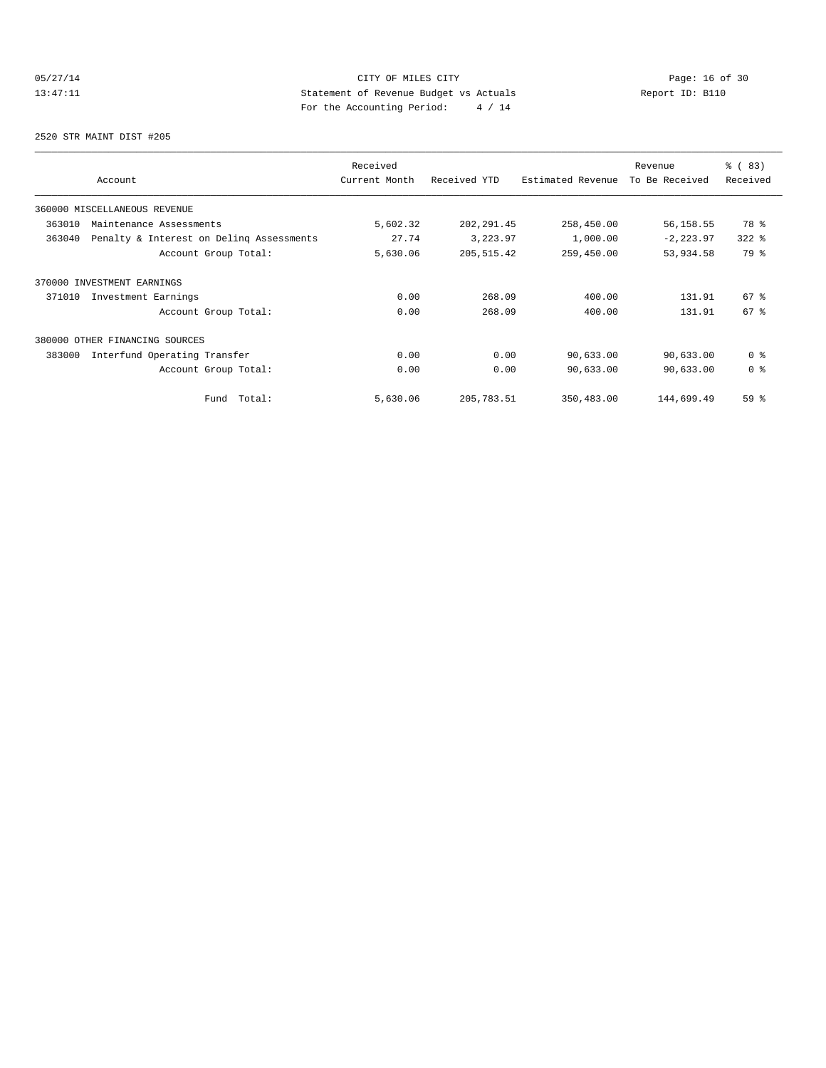## 05/27/14 Page: 16 of 30 13:47:11 Statement of Revenue Budget vs Actuals Report ID: B110<br>Report ID: B110 For the Accounting Period: 4 / 14

2520 STR MAINT DIST #205

| Account                                            | Received<br>Current Month | Received YTD | Estimated Revenue | Revenue<br>To Be Received | % (83)<br>Received |
|----------------------------------------------------|---------------------------|--------------|-------------------|---------------------------|--------------------|
| 360000 MISCELLANEOUS REVENUE                       |                           |              |                   |                           |                    |
| 363010<br>Maintenance Assessments                  | 5,602.32                  | 202, 291.45  | 258,450.00        | 56,158.55                 | 78 %               |
| 363040<br>Penalty & Interest on Deling Assessments | 27.74                     | 3,223.97     | 1,000.00          | $-2, 223.97$              | $322$ $%$          |
| Account Group Total:                               | 5,630.06                  | 205, 515.42  | 259,450.00        | 53,934.58                 | 79 %               |
| 370000 INVESTMENT EARNINGS                         |                           |              |                   |                           |                    |
| Investment Earnings<br>371010                      | 0.00                      | 268.09       | 400.00            | 131.91                    | $67$ $%$           |
| Account Group Total:                               | 0.00                      | 268.09       | 400.00            | 131.91                    | 67 <sup>°</sup>    |
| 380000<br>OTHER FINANCING SOURCES                  |                           |              |                   |                           |                    |
| 383000<br>Interfund Operating Transfer             | 0.00                      | 0.00         | 90,633.00         | 90,633.00                 | 0 <sup>8</sup>     |
| Account Group Total:                               | 0.00                      | 0.00         | 90,633.00         | 90,633.00                 | 0 <sup>8</sup>     |
| Total:<br>Fund                                     | 5,630.06                  | 205,783.51   | 350,483.00        | 144,699.49                | 59 %               |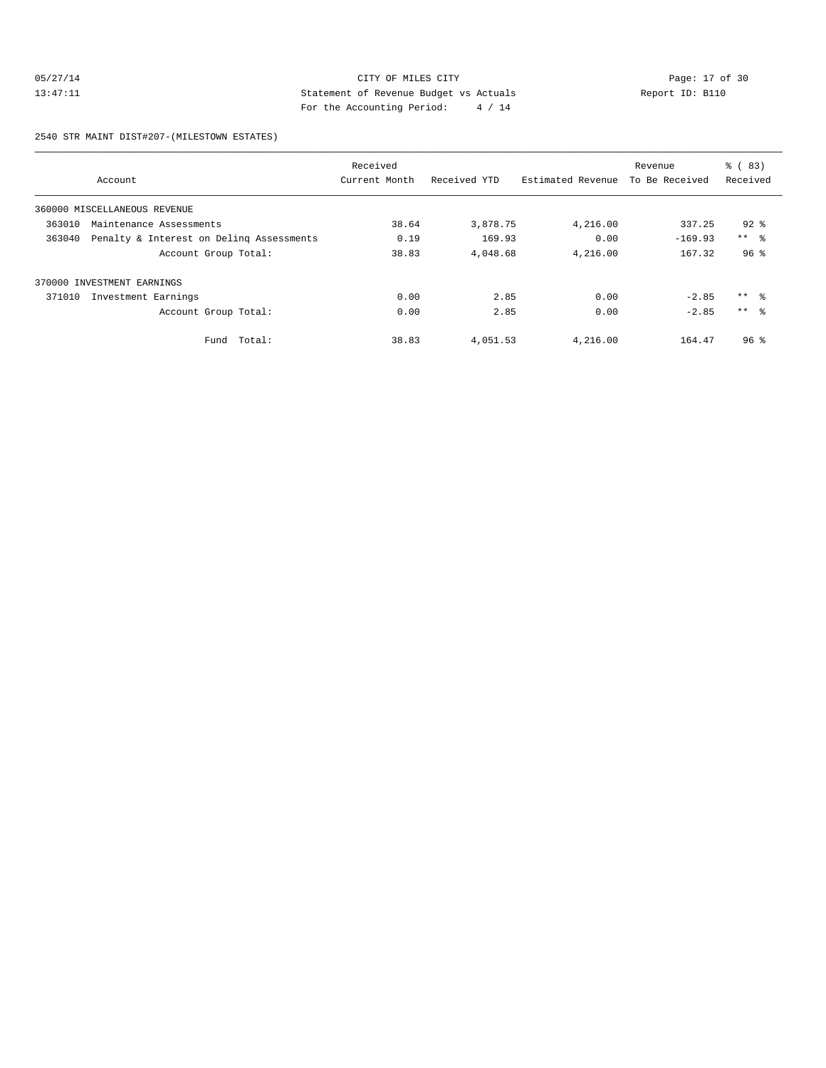## 05/27/14 Page: 17 of 30 13:47:11 Statement of Revenue Budget vs Actuals Report ID: B110 For the Accounting Period: 4 / 14

2540 STR MAINT DIST#207-(MILESTOWN ESTATES)

|        |                                          | Received      |              |                   | Revenue        | % (83)          |
|--------|------------------------------------------|---------------|--------------|-------------------|----------------|-----------------|
|        | Account                                  | Current Month | Received YTD | Estimated Revenue | To Be Received | Received        |
|        | 360000 MISCELLANEOUS REVENUE             |               |              |                   |                |                 |
| 363010 | Maintenance Assessments                  | 38.64         | 3,878.75     | 4,216.00          | 337.25         | $92*$           |
| 363040 | Penalty & Interest on Deling Assessments | 0.19          | 169.93       | 0.00              | $-169.93$      | $***$ $ -$      |
|        | Account Group Total:                     | 38.83         | 4,048.68     | 4,216.00          | 167.32         | 96 <sup>8</sup> |
|        | 370000 INVESTMENT EARNINGS               |               |              |                   |                |                 |
| 371010 | Investment Earnings                      | 0.00          | 2.85         | 0.00              | $-2.85$        | $***$ $ -$      |
|        | Account Group Total:                     | 0.00          | 2.85         | 0.00              | $-2.85$        | $***$ %         |
|        | Total:<br>Fund                           | 38.83         | 4,051.53     | 4,216.00          | 164.47         | 96 <sup>8</sup> |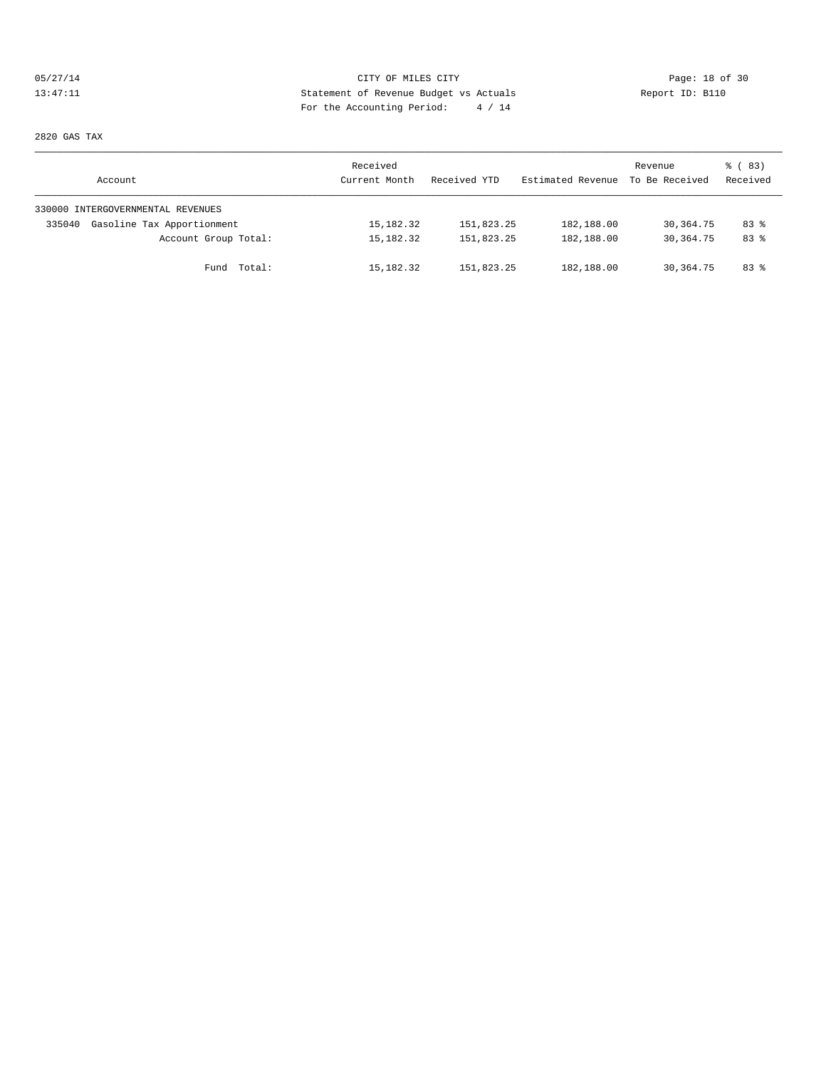## 05/27/14 Page: 18 of 30 13:47:11 Statement of Revenue Budget vs Actuals Report ID: B110 For the Accounting Period: 4 / 14

2820 GAS TAX

| Account                              | Received<br>Current Month | Received YTD | Estimated Revenue | Revenue<br>To Be Received | % (83)<br>Received |
|--------------------------------------|---------------------------|--------------|-------------------|---------------------------|--------------------|
| 330000 INTERGOVERNMENTAL REVENUES    |                           |              |                   |                           |                    |
| Gasoline Tax Apportionment<br>335040 | 15,182.32                 | 151,823.25   | 182,188.00        | 30,364.75                 | 83%                |
| Account Group Total:                 | 15,182.32                 | 151,823.25   | 182,188.00        | 30, 364, 75               | 83%                |
| Fund Total:                          | 15,182.32                 | 151,823.25   | 182,188.00        | 30,364.75                 | 83 %               |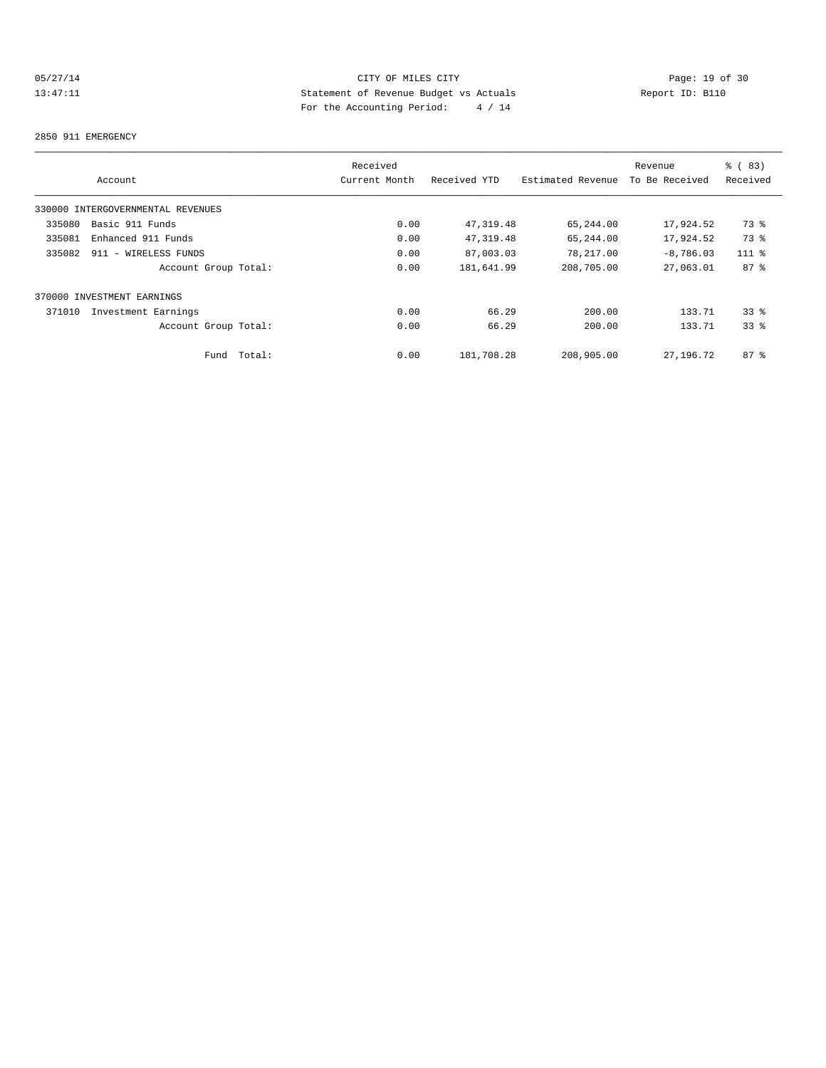## 05/27/14 Page: 19 of 30<br>13:47:11 Page: 19 of 30<br>13:47:11 CITY OF MILES CITY<br>5 Statement of Revenue Budget vs Actuals<br>For the Accounting Positeir Application of the Security Positeir Apple of 214 13:47:11 Statement of Revenue Budget vs Actuals Report ID: B110 For the Accounting Period: 4 / 14

#### 2850 911 EMERGENCY

|        |                                   |        | Received      |              |                   | Revenue        | % (83)   |
|--------|-----------------------------------|--------|---------------|--------------|-------------------|----------------|----------|
|        | Account                           |        | Current Month | Received YTD | Estimated Revenue | To Be Received | Received |
|        | 330000 INTERGOVERNMENTAL REVENUES |        |               |              |                   |                |          |
| 335080 | Basic 911 Funds                   |        | 0.00          | 47,319.48    | 65,244.00         | 17,924.52      | 73 %     |
| 335081 | Enhanced 911 Funds                |        | 0.00          | 47,319.48    | 65,244.00         | 17,924.52      | 73 %     |
| 335082 | 911 - WIRELESS FUNDS              |        | 0.00          | 87,003.03    | 78,217.00         | $-8,786.03$    | $111$ %  |
|        | Account Group Total:              |        | 0.00          | 181,641.99   | 208,705.00        | 27,063.01      | $87 - 8$ |
|        | 370000 INVESTMENT EARNINGS        |        |               |              |                   |                |          |
| 371010 | Investment Earnings               |        | 0.00          | 66.29        | 200.00            | 133.71         | 338      |
|        | Account Group Total:              |        | 0.00          | 66.29        | 200.00            | 133.71         | 338      |
|        | Fund                              | Total: | 0.00          | 181,708.28   | 208,905.00        | 27,196.72      | $87 - 8$ |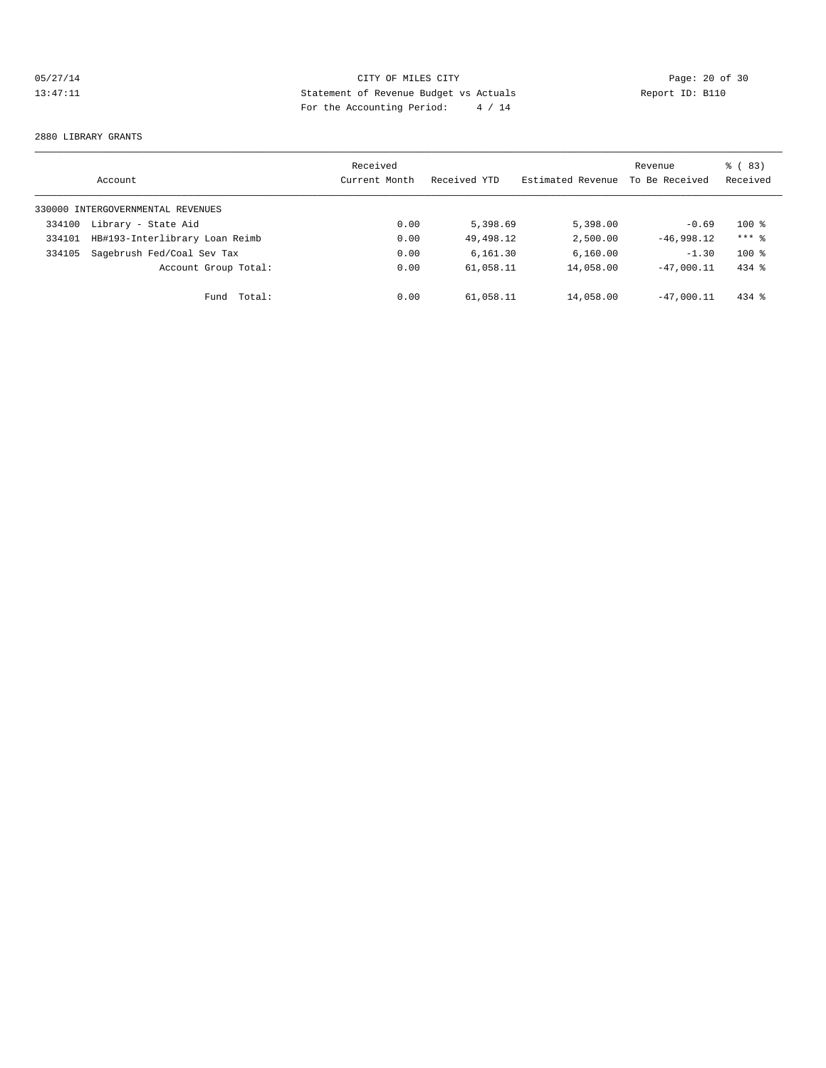## 05/27/14 Page: 20 of 30 13:47:11 Statement of Revenue Budget vs Actuals Report ID: B110 For the Accounting Period: 4 / 14

#### 2880 LIBRARY GRANTS

|        | Account                           | Received<br>Current Month | Received YTD | Estimated Revenue | Revenue<br>To Be Received | % (83)<br>Received |
|--------|-----------------------------------|---------------------------|--------------|-------------------|---------------------------|--------------------|
|        | 330000 INTERGOVERNMENTAL REVENUES |                           |              |                   |                           |                    |
| 334100 | Library - State Aid               | 0.00                      | 5,398.69     | 5,398.00          | $-0.69$                   | $100*$             |
| 334101 | HB#193-Interlibrary Loan Reimb    | 0.00                      | 49,498.12    | 2,500.00          | $-46.998.12$              | $***$ 2            |
| 334105 | Sagebrush Fed/Coal Sev Tax        | 0.00                      | 6.161.30     | 6,160.00          | $-1.30$                   | $100*$             |
|        | Account Group Total:              | 0.00                      | 61,058.11    | 14,058.00         | $-47.000.11$              | $434$ $%$          |
|        | Total:<br>Fund                    | 0.00                      | 61,058.11    | 14,058.00         | $-47.000.11$              | $434$ $%$          |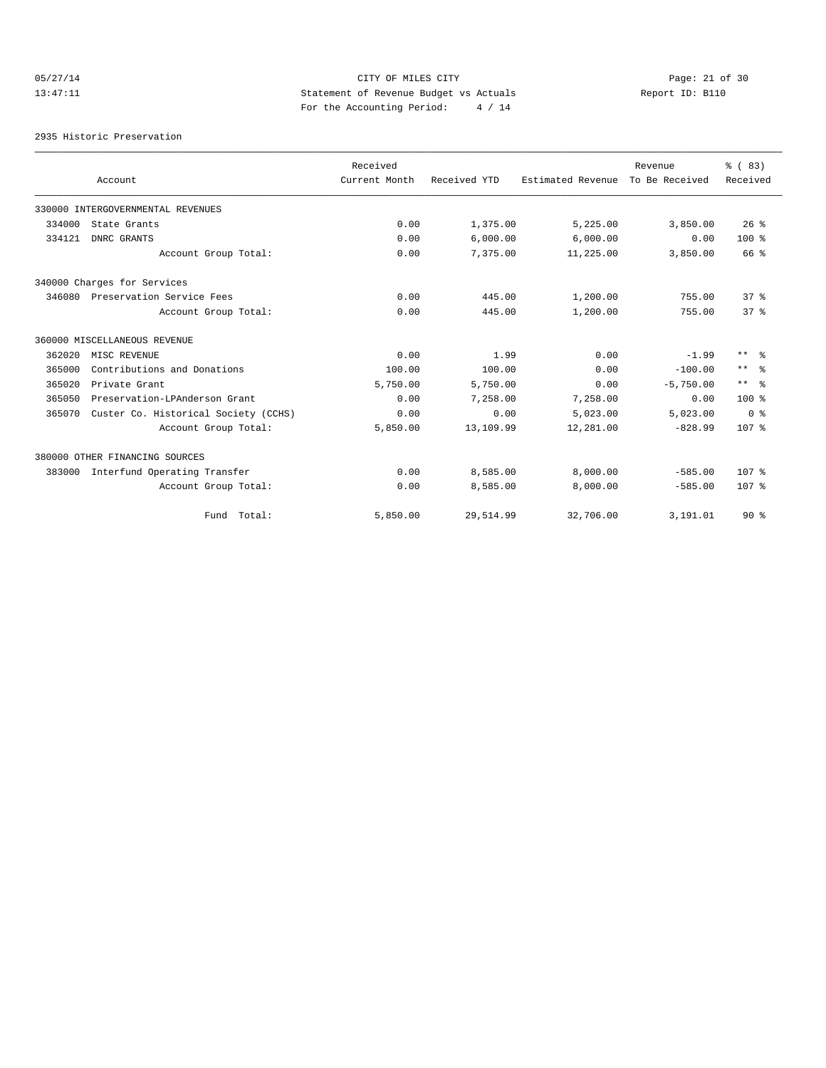# 05/27/14 Page: 21 of 30 13:47:11 Statement of Revenue Budget vs Actuals Report ID: B110 For the Accounting Period: 4 / 14

2935 Historic Preservation

|        |                                      | Received      |              |                   | Revenue        | % (83)                  |
|--------|--------------------------------------|---------------|--------------|-------------------|----------------|-------------------------|
|        | Account                              | Current Month | Received YTD | Estimated Revenue | To Be Received | Received                |
|        | 330000 INTERGOVERNMENTAL REVENUES    |               |              |                   |                |                         |
| 334000 | State Grants                         | 0.00          | 1,375.00     | 5,225.00          | 3,850.00       | 26%                     |
| 334121 | DNRC GRANTS                          | 0.00          | 6,000.00     | 6,000.00          | 0.00           | $100*$                  |
|        | Account Group Total:                 | 0.00          | 7,375.00     | 11,225.00         | 3,850.00       | 66 %                    |
|        | 340000 Charges for Services          |               |              |                   |                |                         |
| 346080 | Preservation Service Fees            | 0.00          | 445.00       | 1,200.00          | 755.00         | 37 <sup>8</sup>         |
|        | Account Group Total:                 | 0.00          | 445.00       | 1,200.00          | 755.00         | 37 <sup>8</sup>         |
|        | 360000 MISCELLANEOUS REVENUE         |               |              |                   |                |                         |
| 362020 | MISC REVENUE                         | 0.00          | 1.99         | 0.00              | $-1.99$        | $***$ $=$ $\frac{6}{5}$ |
| 365000 | Contributions and Donations          | 100.00        | 100.00       | 0.00              | $-100.00$      | $\star\star$<br>ু ৯     |
| 365020 | Private Grant                        | 5,750.00      | 5,750.00     | 0.00              | $-5,750.00$    | $***$ %                 |
| 365050 | Preservation-LPAnderson Grant        | 0.00          | 7,258.00     | 7,258.00          | 0.00           | $100*$                  |
| 365070 | Custer Co. Historical Society (CCHS) | 0.00          | 0.00         | 5,023.00          | 5,023.00       | 0 <sup>8</sup>          |
|        | Account Group Total:                 | 5,850.00      | 13,109.99    | 12,281.00         | $-828.99$      | 107 <sub>8</sub>        |
|        | 380000 OTHER FINANCING SOURCES       |               |              |                   |                |                         |
| 383000 | Interfund Operating Transfer         | 0.00          | 8,585.00     | 8,000.00          | $-585.00$      | 107 <sub>8</sub>        |
|        | Account Group Total:                 | 0.00          | 8,585.00     | 8,000.00          | $-585.00$      | 107 <sub>8</sub>        |
|        | Fund Total:                          | 5,850.00      | 29,514.99    | 32,706.00         | 3,191.01       | $90*$                   |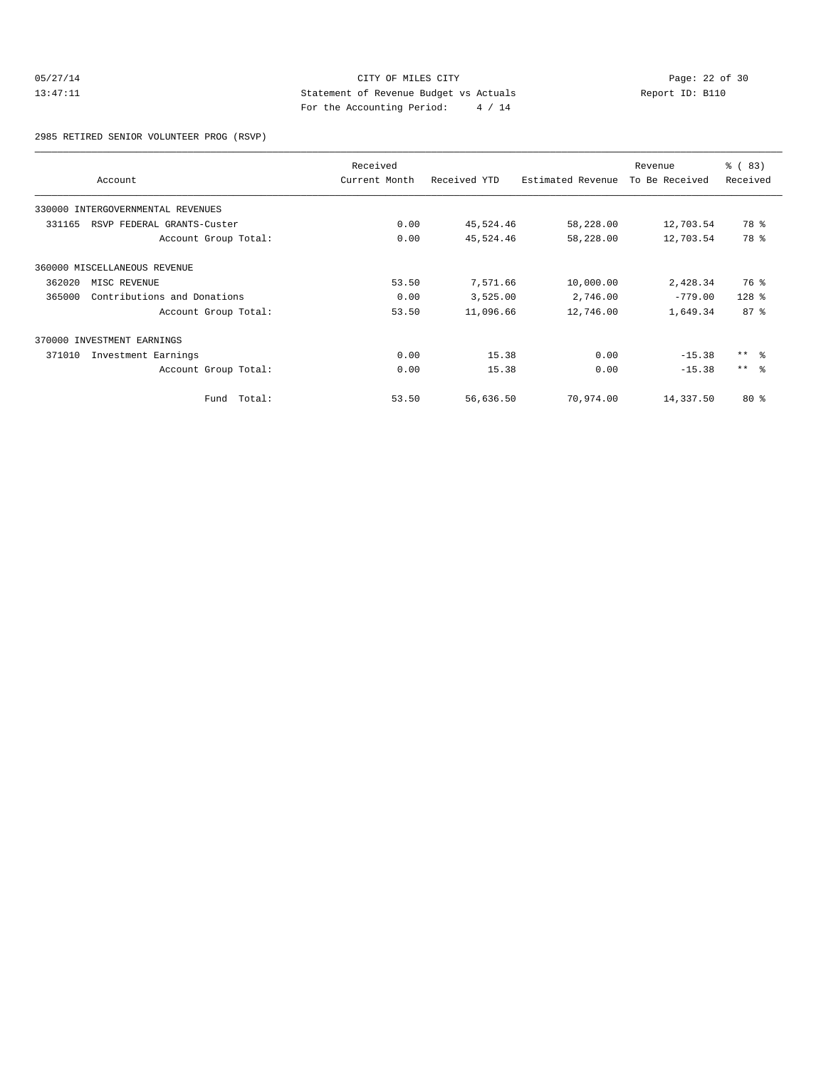## 05/27/14 Page: 22 of 30<br>13:47:11 Page: 22 of 30<br>13:47:11 CITY OF MILES CITY<br>50 Statement of Revenue Budget vs Actuals<br>For the Accounting Positeir Application of the Actual September 2016 13:47:11 Statement of Revenue Budget vs Actuals Report ID: B110 For the Accounting Period: 4 / 14

2985 RETIRED SENIOR VOLUNTEER PROG (RSVP)

|        | Account                           | Received<br>Current Month | Received YTD | Estimated Revenue | Revenue<br>To Be Received | $\frac{6}{6}$ (83)<br>Received |
|--------|-----------------------------------|---------------------------|--------------|-------------------|---------------------------|--------------------------------|
|        | 330000 INTERGOVERNMENTAL REVENUES |                           |              |                   |                           |                                |
| 331165 | RSVP FEDERAL GRANTS-Custer        | 0.00                      | 45,524.46    | 58,228.00         | 12,703.54                 | 78 %                           |
|        | Account Group Total:              | 0.00                      | 45,524.46    | 58,228.00         | 12,703.54                 | 78 %                           |
|        | 360000 MISCELLANEOUS REVENUE      |                           |              |                   |                           |                                |
| 362020 | MISC REVENUE                      | 53.50                     | 7,571.66     | 10,000.00         | 2,428.34                  | 76 %                           |
| 365000 | Contributions and Donations       | 0.00                      | 3,525.00     | 2,746.00          | $-779.00$                 | $128$ %                        |
|        | Account Group Total:              | 53.50                     | 11,096.66    | 12,746.00         | 1,649.34                  | 87%                            |
|        | 370000 INVESTMENT EARNINGS        |                           |              |                   |                           |                                |
| 371010 | Investment Earnings               | 0.00                      | 15.38        | 0.00              | $-15.38$                  | $***$ 8                        |
|        | Account Group Total:              | 0.00                      | 15.38        | 0.00              | $-15.38$                  | $***$ $ -$                     |
|        | Total:<br>Fund                    | 53.50                     | 56,636.50    | 70,974.00         | 14,337.50                 | 80%                            |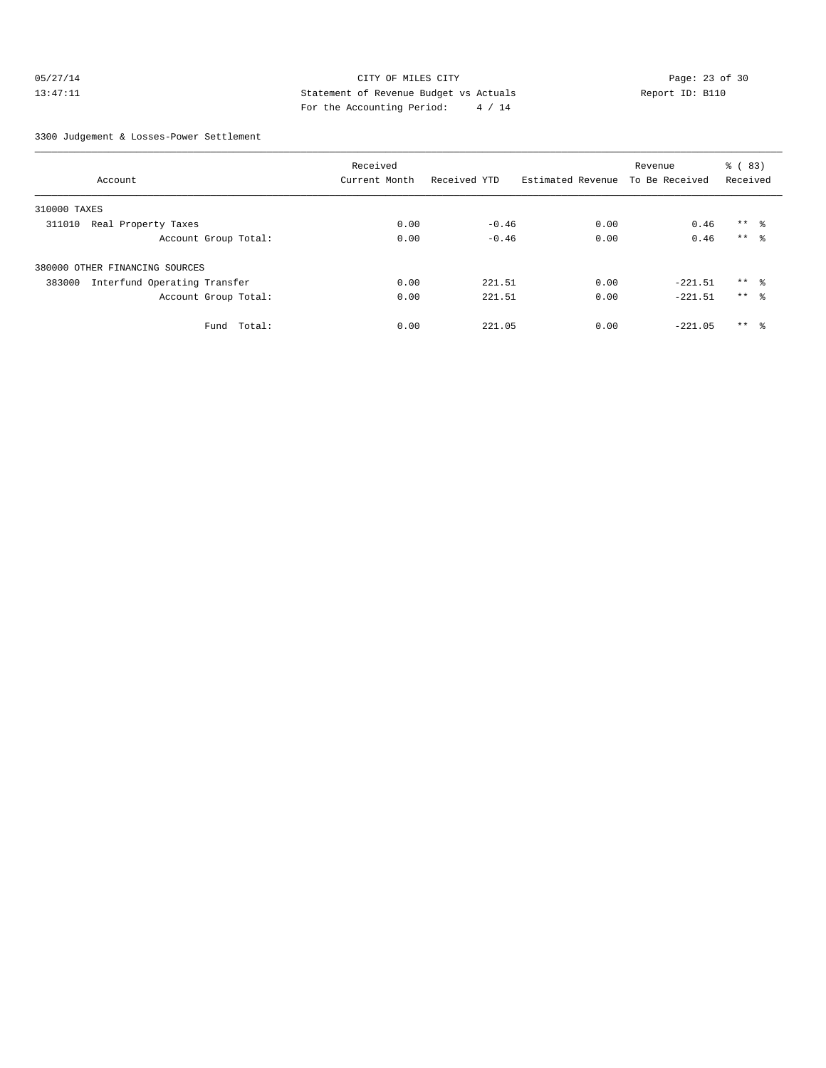## 05/27/14 Page: 23 of 30 13:47:11 Statement of Revenue Budget vs Actuals Report ID: B110 For the Accounting Period: 4 / 14

3300 Judgement & Losses-Power Settlement

|                                        | Received      |              |                   | Revenue        | % (83)          |  |
|----------------------------------------|---------------|--------------|-------------------|----------------|-----------------|--|
| Account                                | Current Month | Received YTD | Estimated Revenue | To Be Received | Received        |  |
| 310000 TAXES                           |               |              |                   |                |                 |  |
| Real Property Taxes<br>311010          | 0.00          | $-0.46$      | 0.00              | 0.46           | $***$ $\approx$ |  |
| Account Group Total:                   | 0.00          | $-0.46$      | 0.00              | 0.46           | $***$ 8         |  |
| 380000 OTHER FINANCING SOURCES         |               |              |                   |                |                 |  |
| Interfund Operating Transfer<br>383000 | 0.00          | 221.51       | 0.00              | $-221.51$      | $***$ $\approx$ |  |
| Account Group Total:                   | 0.00          | 221.51       | 0.00              | $-221.51$      | $***$ $\approx$ |  |
| Fund<br>Total:                         | 0.00          | 221.05       | 0.00              | $-221.05$      | $***$ $\approx$ |  |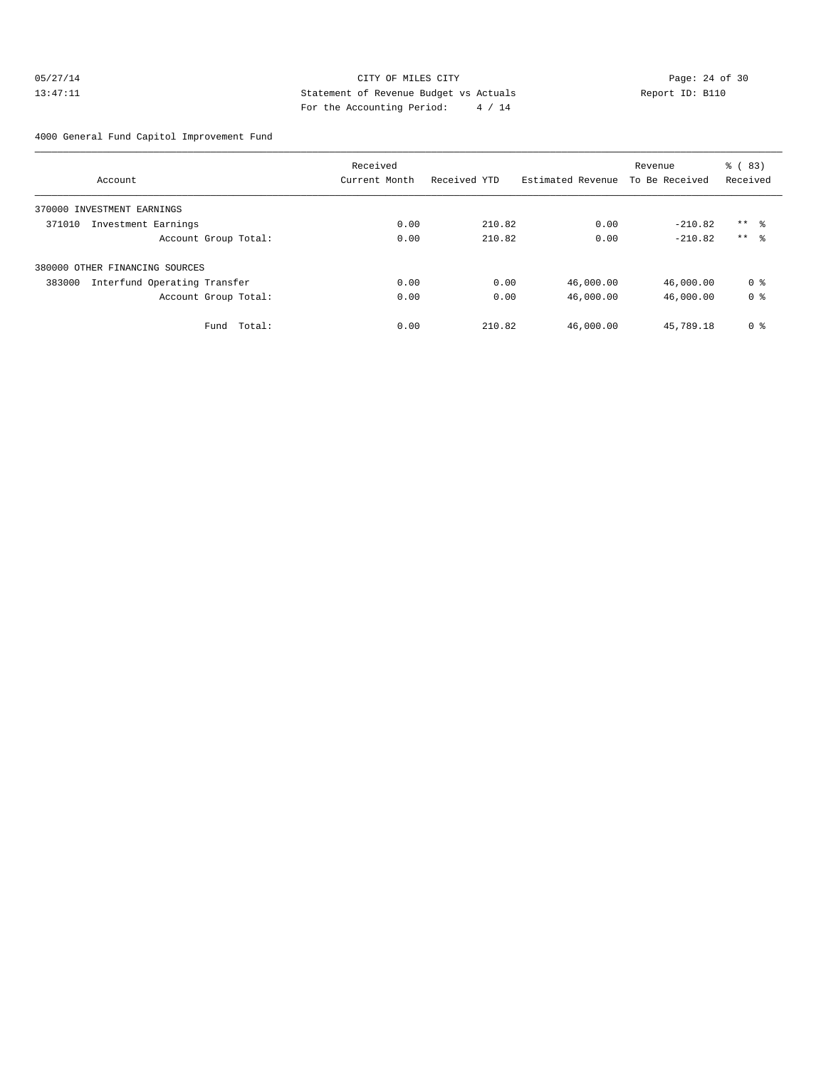## 05/27/14 Page: 24 of 30 13:47:11 Statement of Revenue Budget vs Actuals Report ID: B110 For the Accounting Period: 4 / 14

4000 General Fund Capitol Improvement Fund

|                                        | Received      |              |                   | Revenue        | % (83)         |
|----------------------------------------|---------------|--------------|-------------------|----------------|----------------|
| Account                                | Current Month | Received YTD | Estimated Revenue | To Be Received | Received       |
| 370000 INVESTMENT EARNINGS             |               |              |                   |                |                |
| 371010<br>Investment Earnings          | 0.00          | 210.82       | 0.00              | $-210.82$      | $***$ 8        |
| Account Group Total:                   | 0.00          | 210.82       | 0.00              | $-210.82$      | $***$ 8        |
| 380000 OTHER FINANCING SOURCES         |               |              |                   |                |                |
| 383000<br>Interfund Operating Transfer | 0.00          | 0.00         | 46,000.00         | 46,000.00      | 0 %            |
| Account Group Total:                   | 0.00          | 0.00         | 46,000.00         | 46,000.00      | 0 <sup>8</sup> |
| Total:<br>Fund                         | 0.00          | 210.82       | 46,000.00         | 45,789.18      | 0 <sup>8</sup> |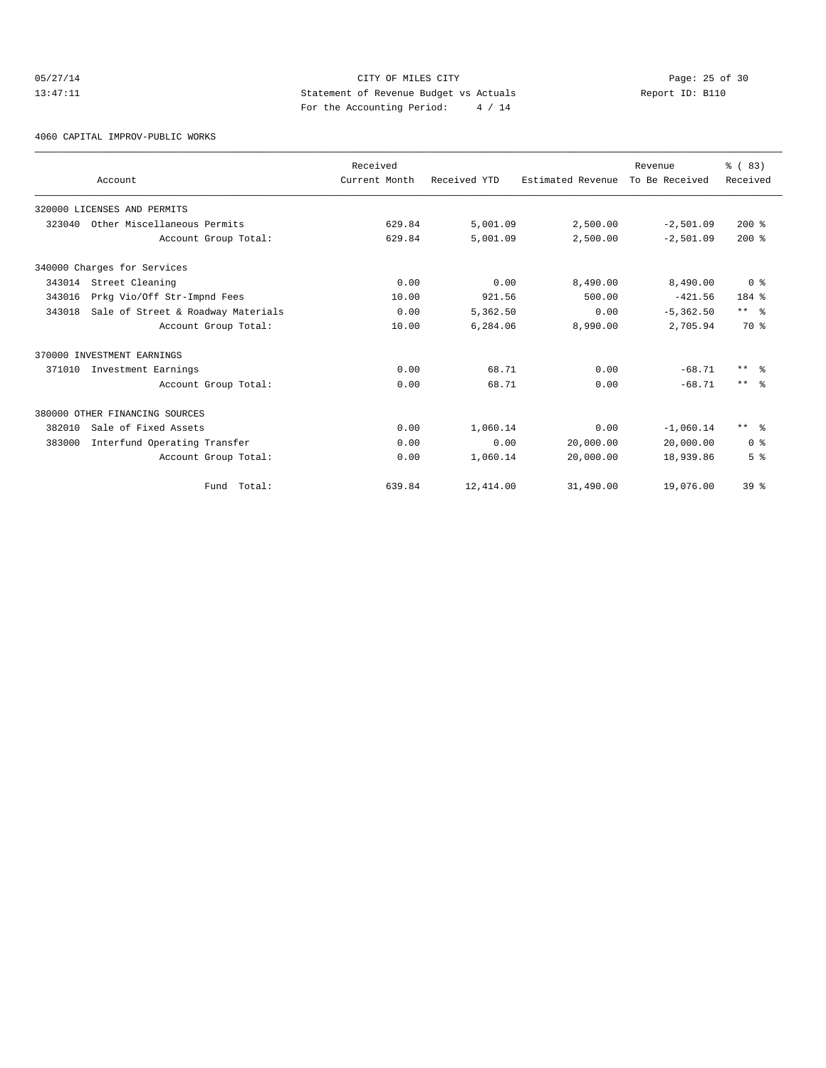## 05/27/14 Page: 25 of 30 13:47:11 Statement of Revenue Budget vs Actuals Report ID: B110 For the Accounting Period: 4 / 14

4060 CAPITAL IMPROV-PUBLIC WORKS

|        |                                    | Received      |              |                   | Revenue        | % (83)          |
|--------|------------------------------------|---------------|--------------|-------------------|----------------|-----------------|
|        | Account                            | Current Month | Received YTD | Estimated Revenue | To Be Received | Received        |
|        | 320000 LICENSES AND PERMITS        |               |              |                   |                |                 |
| 323040 | Other Miscellaneous Permits        | 629.84        | 5,001.09     | 2,500.00          | $-2,501.09$    | $200*$          |
|        | Account Group Total:               | 629.84        | 5,001.09     | 2,500.00          | $-2,501.09$    | $200$ %         |
|        | 340000 Charges for Services        |               |              |                   |                |                 |
| 343014 | Street Cleaning                    | 0.00          | 0.00         | 8,490.00          | 8,490.00       | 0 <sup>8</sup>  |
| 343016 | Prkg Vio/Off Str-Impnd Fees        | 10.00         | 921.56       | 500.00            | $-421.56$      | 184 %           |
| 343018 | Sale of Street & Roadway Materials | 0.00          | 5,362.50     | 0.00              | $-5, 362.50$   | $***$ $ -$      |
|        | Account Group Total:               | 10.00         | 6,284.06     | 8,990.00          | 2,705.94       | 70 %            |
|        | 370000 INVESTMENT EARNINGS         |               |              |                   |                |                 |
| 371010 | Investment Earnings                | 0.00          | 68.71        | 0.00              | $-68.71$       | $***$ $ -$      |
|        | Account Group Total:               | 0.00          | 68.71        | 0.00              | $-68.71$       | $***$ $\approx$ |
|        | 380000 OTHER FINANCING SOURCES     |               |              |                   |                |                 |
| 382010 | Sale of Fixed Assets               | 0.00          | 1,060.14     | 0.00              | $-1,060.14$    | $***$ $ -$      |
| 383000 | Interfund Operating Transfer       | 0.00          | 0.00         | 20,000.00         | 20,000.00      | 0 <sup>8</sup>  |
|        | Account Group Total:               | 0.00          | 1,060.14     | 20,000.00         | 18,939.86      | 5 <sup>8</sup>  |
|        | Fund Total:                        | 639.84        | 12,414.00    | 31,490.00         | 19,076.00      | 39 <sup>8</sup> |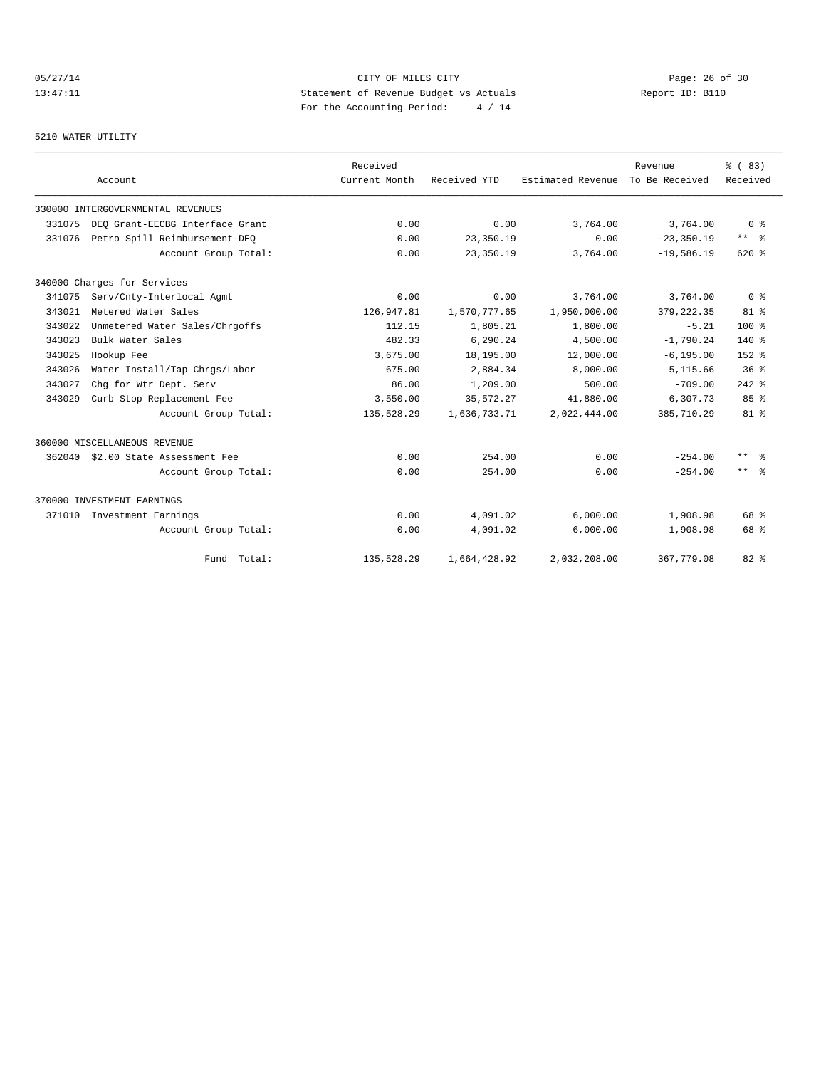# 05/27/14 Page: 26 of 30 13:47:11 Statement of Revenue Budget vs Actuals Report ID: B110 For the Accounting Period: 4 / 14

## 5210 WATER UTILITY

|        | Account                           | Received<br>Current Month | Received YTD | Estimated Revenue | Revenue<br>To Be Received | % (83)<br>Received      |
|--------|-----------------------------------|---------------------------|--------------|-------------------|---------------------------|-------------------------|
|        | 330000 INTERGOVERNMENTAL REVENUES |                           |              |                   |                           |                         |
| 331075 | DEO Grant-EECBG Interface Grant   | 0.00                      | 0.00         | 3,764.00          | 3,764.00                  | $0 \text{ }$ $\text{ }$ |
| 331076 | Petro Spill Reimbursement-DEO     | 0.00                      | 23,350.19    | 0.00              | $-23, 350.19$             | $***$ $\approx$         |
|        | Account Group Total:              | 0.00                      | 23,350.19    | 3,764.00          | $-19,586.19$              | $620$ %                 |
|        | 340000 Charges for Services       |                           |              |                   |                           |                         |
| 341075 | Serv/Cnty-Interlocal Agmt         | 0.00                      | 0.00         | 3,764.00          | 3,764.00                  | 0 <sup>8</sup>          |
| 343021 | Metered Water Sales               | 126,947.81                | 1,570,777.65 | 1,950,000.00      | 379, 222.35               | $81 - 8$                |
| 343022 | Unmetered Water Sales/Chrgoffs    | 112.15                    | 1,805.21     | 1,800.00          | $-5.21$                   | $100*$                  |
| 343023 | Bulk Water Sales                  | 482.33                    | 6,290.24     | 4,500.00          | $-1,790.24$               | $140*$                  |
| 343025 | Hookup Fee                        | 3,675.00                  | 18,195.00    | 12,000.00         | $-6, 195.00$              | $152*$                  |
| 343026 | Water Install/Tap Chrgs/Labor     | 675.00                    | 2,884.34     | 8,000.00          | 5,115.66                  | 36 <sup>8</sup>         |
| 343027 | Chq for Wtr Dept. Serv            | 86.00                     | 1,209.00     | 500.00            | $-709.00$                 | $242$ $%$               |
| 343029 | Curb Stop Replacement Fee         | 3,550.00                  | 35, 572.27   | 41,880.00         | 6,307.73                  | 85%                     |
|        | Account Group Total:              | 135,528.29                | 1,636,733.71 | 2,022,444.00      | 385,710.29                | $81$ %                  |
|        | 360000 MISCELLANEOUS REVENUE      |                           |              |                   |                           |                         |
| 362040 | \$2.00 State Assessment Fee       | 0.00                      | 254.00       | 0.00              | $-254.00$                 | $\star\star$<br>ু ≳     |
|        | Account Group Total:              | 0.00                      | 254.00       | 0.00              | $-254.00$                 | $***$ $ \frac{6}{9}$    |
|        | 370000 INVESTMENT EARNINGS        |                           |              |                   |                           |                         |
| 371010 | Investment Earnings               | 0.00                      | 4,091.02     | 6.000.00          | 1,908.98                  | 68 %                    |
|        | Account Group Total:              | 0.00                      | 4,091.02     | 6,000.00          | 1,908.98                  | 68 %                    |
|        | Fund Total:                       | 135,528.29                | 1,664,428.92 | 2,032,208.00      | 367,779.08                | $82*$                   |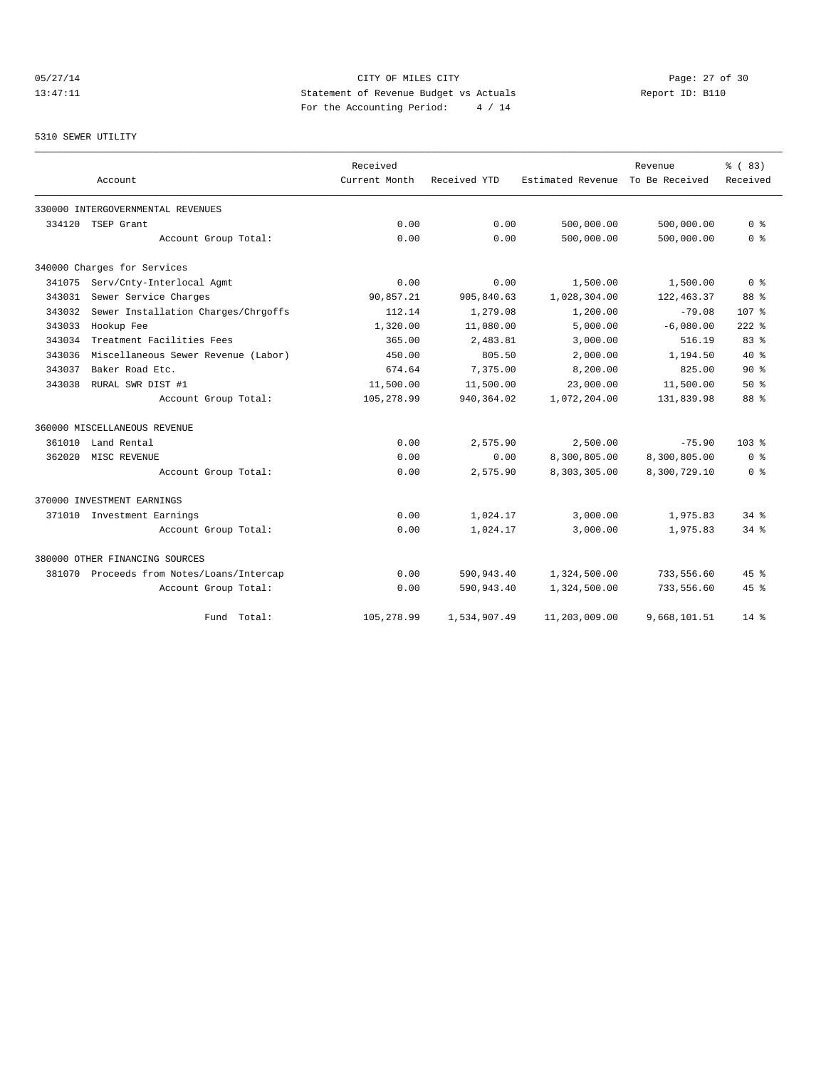## 05/27/14 Page: 27 of 30 13:47:11 Statement of Revenue Budget vs Actuals Report ID: B110 For the Accounting Period: 4 / 14

#### 5310 SEWER UTILITY

|        |                                           | Received      |              |                   | Revenue        | % (83)             |
|--------|-------------------------------------------|---------------|--------------|-------------------|----------------|--------------------|
|        | Account                                   | Current Month | Received YTD | Estimated Revenue | To Be Received | Received           |
|        | 330000 INTERGOVERNMENTAL REVENUES         |               |              |                   |                |                    |
| 334120 | TSEP Grant                                | 0.00          | 0.00         | 500,000.00        | 500,000.00     | 0 <sup>8</sup>     |
|        | Account Group Total:                      | 0.00          | 0.00         | 500,000.00        | 500,000.00     | 0 <sup>8</sup>     |
|        | 340000 Charges for Services               |               |              |                   |                |                    |
| 341075 | Serv/Cnty-Interlocal Agmt                 | 0.00          | 0.00         | 1,500.00          | 1,500.00       | 0 <sup>8</sup>     |
| 343031 | Sewer Service Charges                     | 90,857.21     | 905,840.63   | 1,028,304.00      | 122, 463.37    | 88 %               |
| 343032 | Sewer Installation Charges/Chrgoffs       | 112.14        | 1,279.08     | 1,200.00          | $-79.08$       | 107 %              |
| 343033 | Hookup Fee                                | 1,320.00      | 11,080.00    | 5,000.00          | $-6,080.00$    | $222$ $%$          |
| 343034 | Treatment Facilities Fees                 | 365.00        | 2,483.81     | 3,000.00          | 516.19         | 83%                |
| 343036 | Miscellaneous Sewer Revenue (Labor)       | 450.00        | 805.50       | 2,000.00          | 1,194.50       | $40*$              |
| 343037 | Baker Road Etc.                           | 674.64        | 7,375.00     | 8,200.00          | 825.00         | 90%                |
| 343038 | RURAL SWR DIST #1                         | 11,500.00     | 11,500.00    | 23,000.00         | 11,500.00      | 50%                |
|        | Account Group Total:                      | 105,278.99    | 940, 364.02  | 1,072,204.00      | 131,839.98     | 88 %               |
|        | 360000 MISCELLANEOUS REVENUE              |               |              |                   |                |                    |
| 361010 | Land Rental                               | 0.00          | 2,575.90     | 2,500.00          | $-75.90$       | 103 <sub>8</sub>   |
| 362020 | MISC REVENUE                              | 0.00          | 0.00         | 8,300,805.00      | 8,300,805.00   | 0 <sup>8</sup>     |
|        | Account Group Total:                      | 0.00          | 2,575.90     | 8,303,305.00      | 8,300,729.10   | 0 <sup>8</sup>     |
|        | 370000 INVESTMENT EARNINGS                |               |              |                   |                |                    |
|        | 371010 Investment Earnings                | 0.00          | 1,024.17     | 3,000.00          | 1,975.83       | $34$ $%$           |
|        | Account Group Total:                      | 0.00          | 1,024.17     | 3,000.00          | 1,975.83       | $34$ $%$           |
|        | 380000 OTHER FINANCING SOURCES            |               |              |                   |                |                    |
|        | 381070 Proceeds from Notes/Loans/Intercap | 0.00          | 590,943.40   | 1,324,500.00      | 733,556.60     | 45%                |
|        | Account Group Total:                      | 0.00          | 590,943.40   | 1,324,500.00      | 733,556.60     | $45$ $\frac{6}{3}$ |
|        | Fund Total:                               | 105,278.99    | 1,534,907.49 | 11,203,009.00     | 9,668,101.51   | $14*$              |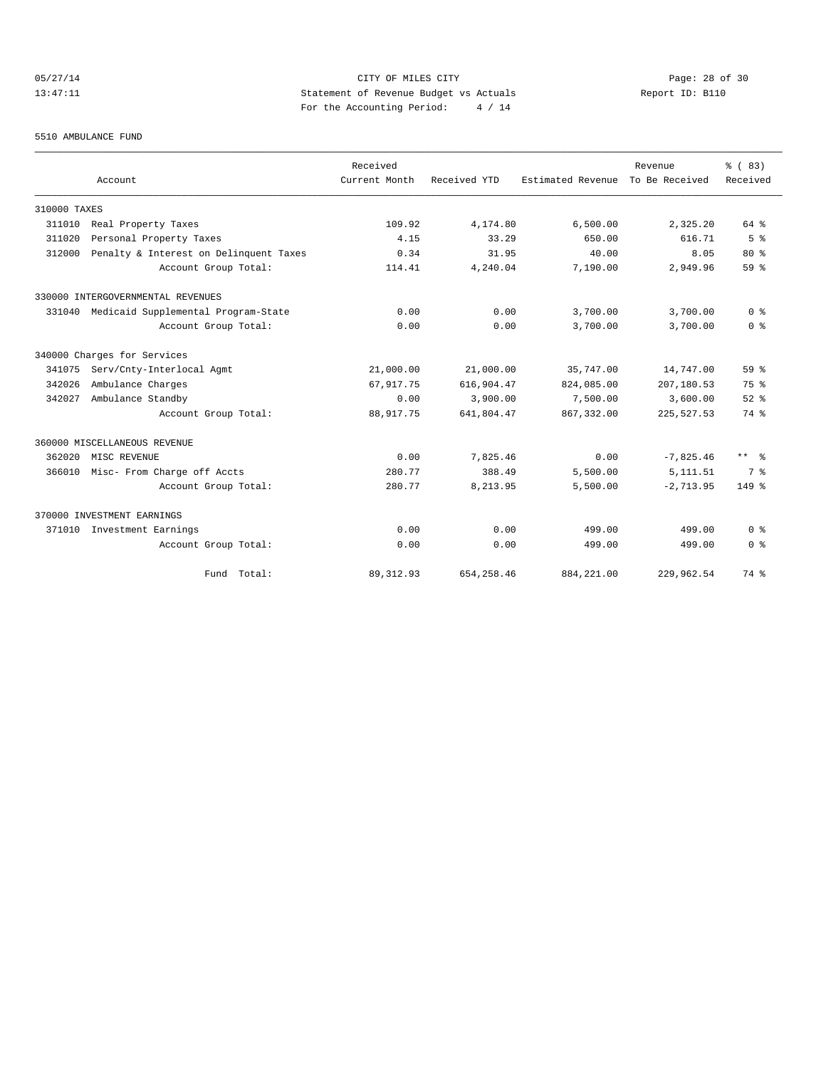## 05/27/14 Page: 28 of 30 13:47:11 Statement of Revenue Budget vs Actuals Report ID: B110 For the Accounting Period: 4 / 14

#### 5510 AMBULANCE FUND

|              | Account                                | Received<br>Current Month | Received YTD | Estimated Revenue | Revenue<br>To Be Received | % (83)<br>Received |
|--------------|----------------------------------------|---------------------------|--------------|-------------------|---------------------------|--------------------|
|              |                                        |                           |              |                   |                           |                    |
| 310000 TAXES |                                        |                           |              |                   |                           |                    |
| 311010       | Real Property Taxes                    | 109.92                    | 4,174.80     | 6,500.00          | 2,325.20                  | 64 %               |
| 311020       | Personal Property Taxes                | 4.15                      | 33.29        | 650.00            | 616.71                    | 5 <sup>8</sup>     |
| 312000       | Penalty & Interest on Delinquent Taxes | 0.34                      | 31.95        | 40.00             | 8.05                      | $80*$              |
|              | Account Group Total:                   | 114.41                    | 4,240.04     | 7,190.00          | 2,949.96                  | 59 %               |
|              | 330000 INTERGOVERNMENTAL REVENUES      |                           |              |                   |                           |                    |
| 331040       | Medicaid Supplemental Program-State    | 0.00                      | 0.00         | 3,700.00          | 3,700.00                  | 0 <sup>8</sup>     |
|              | Account Group Total:                   | 0.00                      | 0.00         | 3,700.00          | 3,700.00                  | 0 <sup>8</sup>     |
|              | 340000 Charges for Services            |                           |              |                   |                           |                    |
| 341075       | Serv/Cnty-Interlocal Agmt              | 21,000.00                 | 21,000.00    | 35,747.00         | 14,747.00                 | 59 <sup>8</sup>    |
| 342026       | Ambulance Charges                      | 67,917.75                 | 616,904.47   | 824,085.00        | 207,180.53                | 75%                |
| 342027       | Ambulance Standby                      | 0.00                      | 3,900.00     | 7,500.00          | 3,600.00                  | $52$ $%$           |
|              | Account Group Total:                   | 88, 917.75                | 641,804.47   | 867, 332, 00      | 225, 527, 53              | 74 %               |
|              | 360000 MISCELLANEOUS REVENUE           |                           |              |                   |                           |                    |
| 362020       | MISC REVENUE                           | 0.00                      | 7.825.46     | 0.00              | $-7,825.46$               | $***$ $\approx$    |
| 366010       | Misc- From Charge off Accts            | 280.77                    | 388.49       | 5,500.00          | 5, 111.51                 | 7 %                |
|              | Account Group Total:                   | 280.77                    | 8,213.95     | 5,500.00          | $-2, 713.95$              | 149 %              |
|              | 370000 INVESTMENT EARNINGS             |                           |              |                   |                           |                    |
| 371010       | Investment Earnings                    | 0.00                      | 0.00         | 499.00            | 499.00                    | 0 <sup>8</sup>     |
|              | Account Group Total:                   | 0.00                      | 0.00         | 499.00            | 499.00                    | 0 <sup>8</sup>     |
|              | Fund Total:                            | 89, 312.93                | 654, 258.46  | 884, 221.00       | 229,962.54                | 74 %               |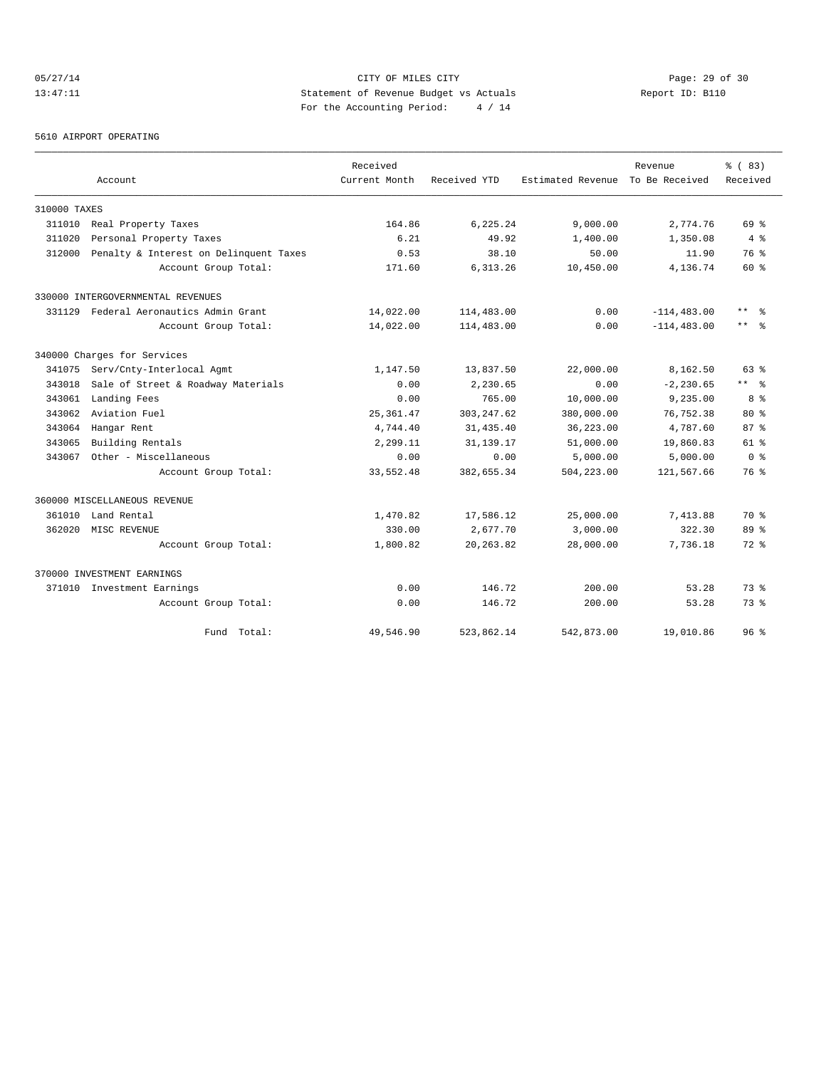## 05/27/14 Page: 29 of 30 13:47:11 Statement of Revenue Budget vs Actuals Report ID: B110 For the Accounting Period: 4 / 14

#### 5610 AIRPORT OPERATING

|              |                                        | Received      |              |                   | Revenue        | % (83)              |
|--------------|----------------------------------------|---------------|--------------|-------------------|----------------|---------------------|
|              | Account                                | Current Month | Received YTD | Estimated Revenue | To Be Received | Received            |
| 310000 TAXES |                                        |               |              |                   |                |                     |
| 311010       | Real Property Taxes                    | 164.86        | 6,225.24     | 9,000.00          | 2,774.76       | 69 %                |
| 311020       | Personal Property Taxes                | 6.21          | 49.92        | 1,400.00          | 1,350.08       | 4%                  |
| 312000       | Penalty & Interest on Delinquent Taxes | 0.53          | 38.10        | 50.00             | 11.90          | 76 %                |
|              | Account Group Total:                   | 171.60        | 6, 313.26    | 10,450.00         | 4,136.74       | 60 %                |
|              | 330000 INTERGOVERNMENTAL REVENUES      |               |              |                   |                |                     |
|              | 331129 Federal Aeronautics Admin Grant | 14,022.00     | 114,483.00   | 0.00              | $-114, 483.00$ | $***$<br>్లి        |
|              | Account Group Total:                   | 14,022.00     | 114,483.00   | 0.00              | $-114, 483.00$ | $\star\star$<br>- 옹 |
|              | 340000 Charges for Services            |               |              |                   |                |                     |
| 341075       | Serv/Cnty-Interlocal Agmt              | 1,147.50      | 13,837.50    | 22,000.00         | 8,162.50       | 63%                 |
| 343018       | Sale of Street & Roadway Materials     | 0.00          | 2,230.65     | 0.00              | $-2, 230.65$   | $***$ %             |
| 343061       | Landing Fees                           | 0.00          | 765.00       | 10,000.00         | 9,235.00       | 8 %                 |
| 343062       | Aviation Fuel                          | 25, 361.47    | 303, 247.62  | 380,000.00        | 76,752.38      | $80*$               |
| 343064       | Hangar Rent                            | 4,744.40      | 31,435.40    | 36,223.00         | 4,787.60       | 87%                 |
| 343065       | Building Rentals                       | 2,299.11      | 31,139.17    | 51,000.00         | 19,860.83      | $61$ %              |
| 343067       | Other - Miscellaneous                  | 0.00          | 0.00         | 5,000.00          | 5,000.00       | 0 <sup>8</sup>      |
|              | Account Group Total:                   | 33,552.48     | 382,655.34   | 504,223.00        | 121,567.66     | 76 %                |
|              | 360000 MISCELLANEOUS REVENUE           |               |              |                   |                |                     |
| 361010       | Land Rental                            | 1,470.82      | 17,586.12    | 25,000.00         | 7,413.88       | 70 %                |
| 362020       | MISC REVENUE                           | 330.00        | 2,677.70     | 3,000.00          | 322.30         | 89 %                |
|              | Account Group Total:                   | 1,800.82      | 20, 263.82   | 28,000.00         | 7,736.18       | $72$ $%$            |
|              | 370000 INVESTMENT EARNINGS             |               |              |                   |                |                     |
|              | 371010 Investment Earnings             | 0.00          | 146.72       | 200.00            | 53.28          | 73.8                |
|              | Account Group Total:                   | 0.00          | 146.72       | 200.00            | 53.28          | 73.8                |
|              | Fund Total:                            | 49,546.90     | 523,862.14   | 542,873.00        | 19,010.86      | 96 <sup>°</sup>     |